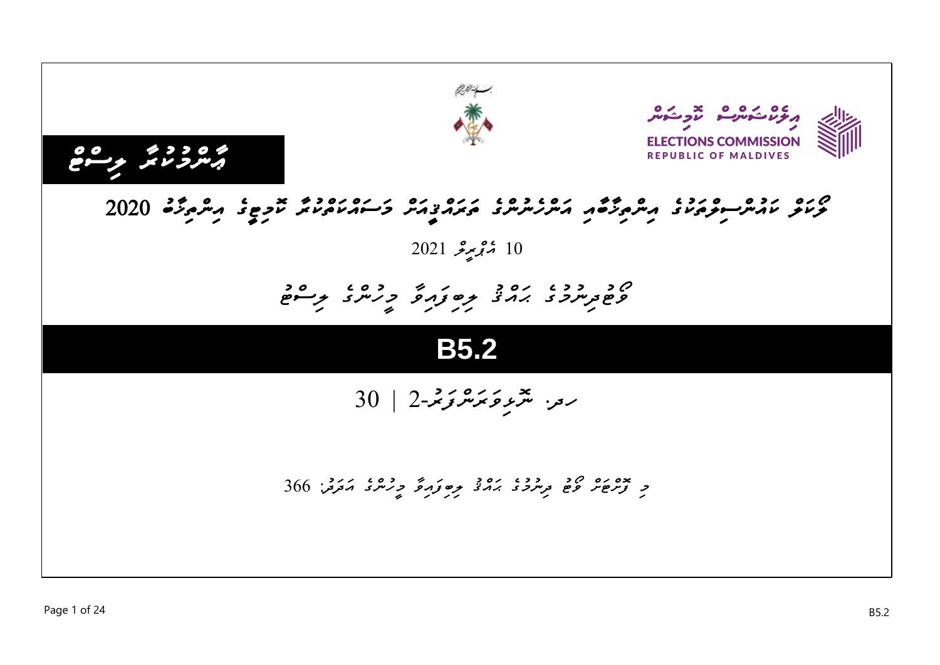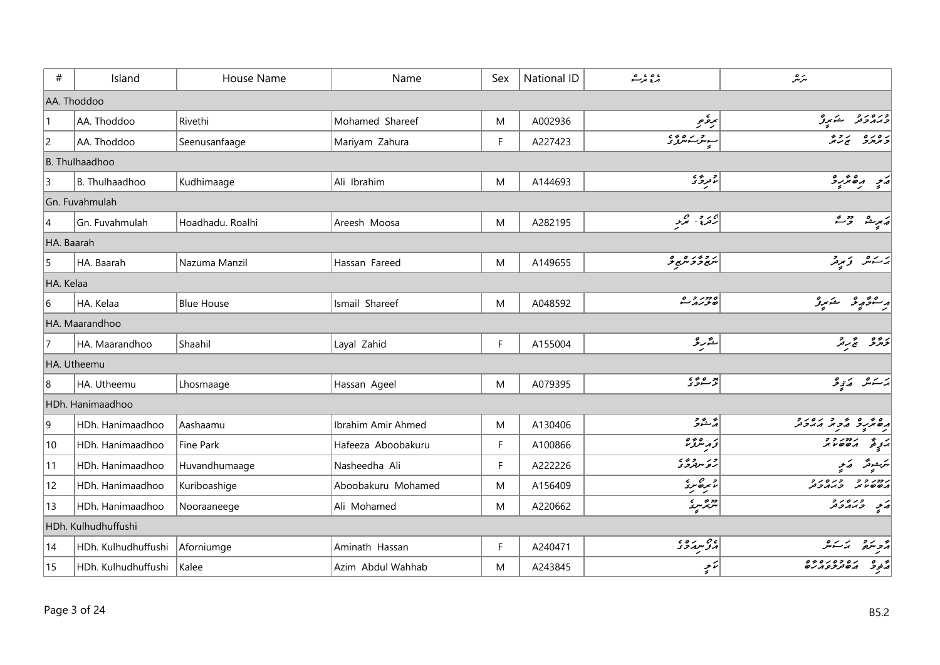| #              | Island              | House Name        | Name               | Sex       | National ID | ېره پر شه                          | ىئرىتر                                                              |
|----------------|---------------------|-------------------|--------------------|-----------|-------------|------------------------------------|---------------------------------------------------------------------|
|                | AA. Thoddoo         |                   |                    |           |             |                                    |                                                                     |
|                | AA. Thoddoo         | Rivethi           | Mohamed Shareef    | M         | A002936     | برةحو                              | ورەرو شەرۇ                                                          |
| $\overline{c}$ | AA. Thoddoo         | Seenusanfaage     | Mariyam Zahura     | F         | A227423     | سەمىرىكەنلىرى<br>سومىرىكەنلىرى     | ره ره دور                                                           |
|                | B. Thulhaadhoo      |                   |                    |           |             |                                    |                                                                     |
| 3              | B. Thulhaadhoo      | Kudhimaage        | Ali Ibrahim        | M         | A144693     | و<br>ما تورگا ک                    | ړې ره پر د                                                          |
|                | Gn. Fuvahmulah      |                   |                    |           |             |                                    |                                                                     |
|                | Gn. Fuvahmulah      | Hoadhadu. Roalhi  | Areesh Moosa       | ${\sf M}$ | A282195     | ج پر ج ، هم مو <sub>ج</sub>        | أرسم المستحرج والمستحرج                                             |
| HA. Baarah     |                     |                   |                    |           |             |                                    |                                                                     |
| 5              | HA. Baarah          | Nazuma Manzil     | Hassan Fareed      | M         | A149655     | ر ج ئەتر ھ <sub>ى</sub> ئى         | يرسكانكر - توكير تقر                                                |
| HA. Kelaa      |                     |                   |                    |           |             |                                    |                                                                     |
| 6              | HA. Kelaa           | <b>Blue House</b> | Ismail Shareef     | M         | A048592     | ه دور و ه<br><i>ه مور</i> در       | ر جۇرچى خىيرۇ                                                       |
|                | HA. Maarandhoo      |                   |                    |           |             |                                    |                                                                     |
|                | HA. Maarandhoo      | Shaahil           | Layal Zahid        | F         | A155004     | ىشەر بۇ                            | كروه ويحرقه                                                         |
|                | HA. Utheemu         |                   |                    |           |             |                                    |                                                                     |
| 8              | HA. Utheemu         | Lhosmaage         | Hassan Ageel       | ${\sf M}$ | A079395     | پر 2ء ۽<br>نر سگوي                 | يرسكا ماراس كانور في قر                                             |
|                | HDh. Hanimaadhoo    |                   |                    |           |             |                                    |                                                                     |
| 9              | HDh. Hanimaadhoo    | Aashaamu          | Ibrahim Amir Ahmed | M         | A130406     | پر شو د                            | גם ג'וב הבג ג'ם גב                                                  |
| $ 10\rangle$   | HDh. Hanimaadhoo    | Fine Park         | Hafeeza Aboobakuru | F         | A100866     | ى بە بىر ئە <sup>م</sup>           | ג'נָ גמיני                                                          |
| 11             | HDh. Hanimaadhoo    | Huvandhumaage     | Nasheedha Ali      | F         | A222226     | و ر په دور و د<br>رن سربرد و       | سَرَڪونَدُ - سَرِ حِي                                               |
| 12             | HDh. Hanimaadhoo    | Kuriboashige      | Aboobakuru Mohamed | M         | A156409     | و هم ده<br>ما <del>م</del> رده مرد |                                                                     |
| 13             | HDh. Hanimaadhoo    | Nooraaneege       | Ali Mohamed        | M         | A220662     | چرمچرسری<br>سربگرسری               | أرشح وره رو                                                         |
|                | HDh. Kulhudhuffushi |                   |                    |           |             |                                    |                                                                     |
| 14             | HDh. Kulhudhuffushi | Aforniumge        | Aminath Hassan     | F         | A240471     | ە بە ئەرەپرە<br>مۇسىدە ئ           | ۇرىتى ئەسكىر                                                        |
| 15             | HDh. Kulhudhuffushi | Kalee             | Azim Abdul Wahhab  | M         | A243845     | ر<br>موجہ                          | ر ه و و ر ه و ه<br>پرې تر <del>ت</del> ر چر ر<br>چ <sub>خ</sub> ه 9 |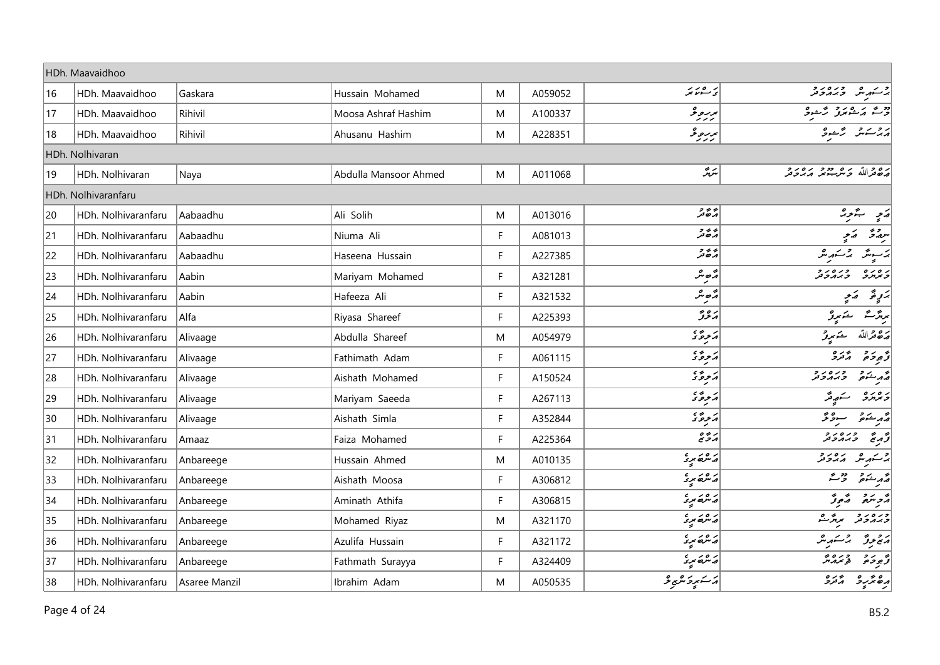|    | HDh. Maavaidhoo     |               |                       |             |         |                                                                    |                                                                 |
|----|---------------------|---------------|-----------------------|-------------|---------|--------------------------------------------------------------------|-----------------------------------------------------------------|
| 16 | HDh. Maavaidhoo     | Gaskara       | Hussain Mohamed       | M           | A059052 | ىر ھەئەبىر                                                         |                                                                 |
| 17 | HDh. Maavaidhoo     | Rihivil       | Moosa Ashraf Hashim   | M           | A100337 | <br>  يربره قر                                                     |                                                                 |
| 18 | HDh. Maavaidhoo     | Rihivil       | Ahusanu Hashim        | M           | A228351 | ىررونۇ<br>رىرىر                                                    |                                                                 |
|    | HDh. Nolhivaran     |               |                       |             |         |                                                                    |                                                                 |
| 19 | HDh. Nolhivaran     | Naya          | Abdulla Mansoor Ahmed | M           | A011068 | ىترىتر                                                             | رە دالله ئەردە رەرد                                             |
|    | HDh. Nolhivaranfaru |               |                       |             |         |                                                                    |                                                                 |
| 20 | HDh. Nolhivaranfaru | Aabaadhu      | Ali Solih             | M           | A013016 | پر بو و<br>پر گھ تر                                                | ړې به ده.                                                       |
| 21 | HDh. Nolhivaranfaru | Aabaadhu      | Niuma Ali             | F           | A081013 | پر دی.<br>در ځاند                                                  | سم <sup>2</sup> ة أمامي<br>أمام برايات مريد<br>أمام برايات مريد |
| 22 | HDh. Nolhivaranfaru | Aabaadhu      | Haseena Hussain       | F           | A227385 | پر دیگر<br>مرگ تعر                                                 |                                                                 |
| 23 | HDh. Nolhivaranfaru | Aabin         | Mariyam Mohamed       | F.          | A321281 | أرمصر                                                              | و ره ر و<br>تر پر ژنر<br>  ئەمەر ە                              |
| 24 | HDh. Nolhivaranfaru | Aabin         | Hafeeza Ali           | F.          | A321532 | أرمصر                                                              | برويج برو<br>برويج برو<br>برويج خوبرو<br>بره برالله خوبرو       |
| 25 | HDh. Nolhivaranfaru | Alfa          | Riyasa Shareef        | F.          | A225393 | برویژ                                                              |                                                                 |
| 26 | HDh. Nolhivaranfaru | Alivaage      | Abdulla Shareef       | M           | A054979 | أتروح                                                              |                                                                 |
| 27 | HDh. Nolhivaranfaru | Alivaage      | Fathimath Adam        | F.          | A061115 | پر وي                                                              | تحجوجه مجمعره                                                   |
| 28 | HDh. Nolhivaranfaru | Alivaage      | Aishath Mohamed       | F           | A150524 | أتروح                                                              |                                                                 |
| 29 | HDh. Nolhivaranfaru | Alivaage      | Mariyam Saeeda        | F.          | A267113 | پر وي                                                              | د ۱۵ د مر مرکز                                                  |
| 30 | HDh. Nolhivaranfaru | Alivaage      | Aishath Simla         | F.          | A352844 | أروع                                                               | $rac{3}{2}$                                                     |
| 31 | HDh. Nolhivaranfaru | Amaaz         | Faiza Mohamed         | F.          | A225364 | $\overset{\circ}{\tilde{\mathscr{S}}}\overset{\circ}{\mathscr{A}}$ |                                                                 |
| 32 | HDh. Nolhivaranfaru | Anbareege     | Hussain Ahmed         | M           | A010135 | ر ه ر پره<br>د سره مړي                                             | جر سکھر سر کار دی جات                                           |
| 33 | HDh. Nolhivaranfaru | Anbareege     | Aishath Moosa         | $\mathsf F$ | A306812 | ر ه ر<br>د سره مړي                                                 | أقرم شده وحرمته                                                 |
| 34 | HDh. Nolhivaranfaru | Anbareege     | Aminath Athifa        | F           | A306815 | ر ەر<br>مەسھەرى                                                    | أزوينهم أأوقر                                                   |
| 35 | HDh. Nolhivaranfaru | Anbareege     | Mohamed Riyaz         | M           | A321170 | پر هر پر پ<br>پر سرچ <i>ه پ</i> ر پر                               | כנסנכ תוצים                                                     |
| 36 | HDh. Nolhivaranfaru | Anbareege     | Azulifa Hussain       | F.          | A321172 | ر ەر<br>ئەسھەم <sub>ۇ</sub> ر                                      | رورو من المستمر مثلا                                            |
| 37 | HDh. Nolhivaranfaru | Anbareege     | Fathmath Surayya      | F.          | A324409 | ر ه ر پره<br>د سره مړي                                             | $5015 - 202$                                                    |
| 38 | HDh. Nolhivaranfaru | Asaree Manzil | Ibrahim Adam          | M           | A050535 | ە سەبېرە ئىرى ۋ                                                    | أرە ئۆر ئەرە                                                    |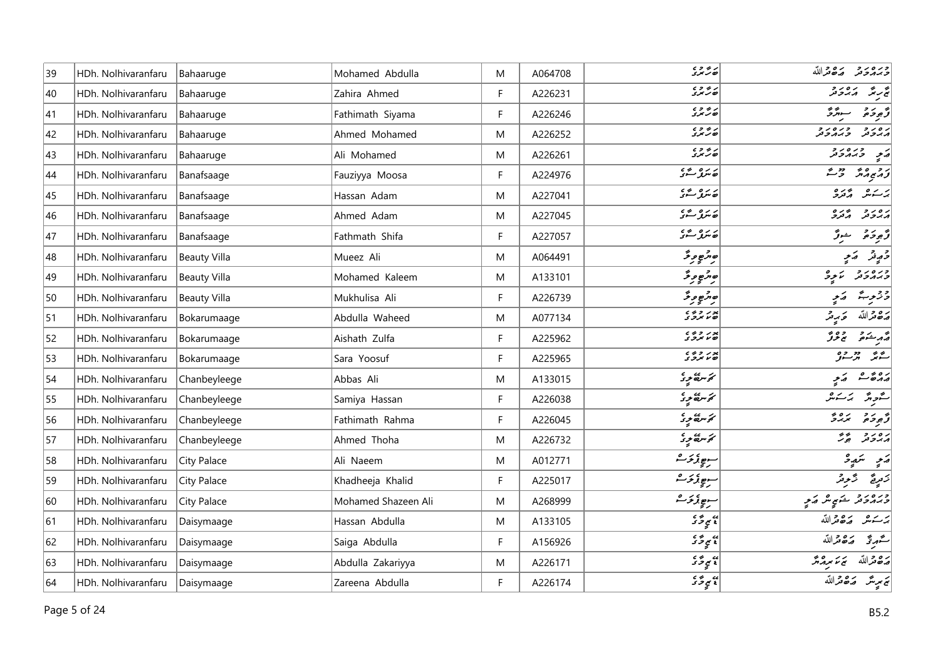| 39 | HDh. Nolhivaranfaru | Bahaaruge           | Mohamed Abdulla     | Μ  | A064708 | ر و د د<br>ن <i>ن تر</i> بو د         | وره رو ده دالله                        |
|----|---------------------|---------------------|---------------------|----|---------|---------------------------------------|----------------------------------------|
| 40 | HDh. Nolhivaranfaru | Bahaaruge           | Zahira Ahmed        | F  | A226231 | ر پر و ،<br>ن <i>خ</i> مرد            | ەر دەر<br> تج سر تئر                   |
| 41 | HDh. Nolhivaranfaru | Bahaaruge           | Fathimath Siyama    | F  | A226246 | ر د د ،<br>ن <i>ن تر</i> بو           | و و ده در در                           |
| 42 | HDh. Nolhivaranfaru | Bahaaruge           | Ahmed Mohamed       | Μ  | A226252 | ر د د ،<br>ن <i>ن تر</i> بو           |                                        |
| 43 | HDh. Nolhivaranfaru | Bahaaruge           | Ali Mohamed         | M  | A226261 | ر و د د<br>ن <i>ن تر</i> بو د         | أمجمع وره رد                           |
| 44 | HDh. Nolhivaranfaru | Banafsaage          | Fauziyya Moosa      | F  | A224976 | ە ئەرەپ يە                            | زوره دوم                               |
| 45 | HDh. Nolhivaranfaru | Banafsaage          | Hassan Adam         | M  | A227041 | ە ئەرەپ يە                            | بر کے مگر محمد حرکت کے مختلف کے م      |
| 46 | HDh. Nolhivaranfaru | Banafsaage          | Ahmed Adam          | Μ  | A227045 | ە ئىرە مەي                            | ג ס ג כ בינים<br>הגב <i>ה ה</i> בניכ   |
| 47 | HDh. Nolhivaranfaru | Banafsaage          | Fathmath Shifa      | F. | A227057 | ە ئىروپىيى                            | ۇ بوخ <sub>م</sub><br>شەۋ              |
| 48 | HDh. Nolhivaranfaru | <b>Beauty Villa</b> | Mueez Ali           | M  | A064491 | <br>  موره <sub>حو</sub> ر            | جەمدىقى كەمچ                           |
| 49 | HDh. Nolhivaranfaru | <b>Beauty Villa</b> | Mohamed Kaleem      | M  | A133101 | ھ پر ھو د                             | כנסים הפרי<br>כגובת תבכ                |
| 50 | HDh. Nolhivaranfaru | <b>Beauty Villa</b> | Mukhulisa Ali       | F  | A226739 | ھ پر ھو پر<br>پر                      | وزوية المو                             |
| 51 | HDh. Nolhivaranfaru | Bokarumaage         | Abdulla Waheed      | M  | A077134 | 599/8                                 | مَدْهِ قَدْ اللّهِ – حَدِيدٌ           |
| 52 | HDh. Nolhivaranfaru | Bokarumaage         | Aishath Zulfa       | F  | A225962 | پر ر د ه ،<br><i>ه تا برد د</i>       | و ده ده ورځ د ده.<br>د مرشو د سمنځو تر |
| 53 | HDh. Nolhivaranfaru | Bokarumaage         | Sara Yoosuf         | F  | A225965 | پر ر د »<br>ن سرد د                   | ستيمتر جزمتى                           |
| 54 | HDh. Nolhivaranfaru | Chanbeyleege        | Abbas Ali           | M  | A133015 | كأسكة موتم                            | رەپرە كې                               |
| 55 | HDh. Nolhivaranfaru | Chanbeyleege        | Samiya Hassan       | F. | A226038 | كوس تقوي                              | سەرەر ئەسەھ                            |
| 56 | HDh. Nolhivaranfaru | Chanbeyleege        | Fathimath Rahma     | F  | A226045 | ے س <sub>تھ</sub> وتے                 | توجدة برەيخ                            |
| 57 | HDh. Nolhivaranfaru | Chanbeyleege        | Ahmed Thoha         | M  | A226732 | ر<br>کوسره د د                        | رەرد پېر                               |
| 58 | HDh. Nolhivaranfaru | City Palace         | Ali Naeem           | M  | A012771 | سەھ ئ <sub>ۈ</sub> ئۈرگە              | ريم سكوفر<br>أن سكوفر<br>أن يوفر       |
| 59 | HDh. Nolhivaranfaru | City Palace         | Khadheeja Khalid    | F  | A225017 | سوھ ئ <sub>و</sub> ئو ئە <sup>م</sup> |                                        |
| 60 | HDh. Nolhivaranfaru | <b>City Palace</b>  | Mohamed Shazeen Ali | M  | A268999 | - موږ تر د ه<br>سرچ                   | وره رو شهېد مکم                        |
| 61 | HDh. Nolhivaranfaru | Daisymaage          | Hassan Abdulla      | M  | A133105 | پی پی تر <sup>2</sup>                 | تركيش وكافرالله                        |
| 62 | HDh. Nolhivaranfaru | Daisymaage          | Saiga Abdulla       | F. | A156926 | ،<br>پ <sup>ه</sup> سچ <sup>و</sup> د | ته من الله                             |
| 63 | HDh. Nolhivaranfaru | Daisymaage          | Abdulla Zakariyya   | Μ  | A226171 | )<br>پانگې ترک                        | مَدَّدَاللَّهُ بِمَسْتِرْدَمَّرَ       |
| 64 | HDh. Nolhivaranfaru | Daisymaage          | Zareena Abdulla     | F  | A226174 | ر<br>پانگنج تر ک                      | كج سرينكر الدكاهية                     |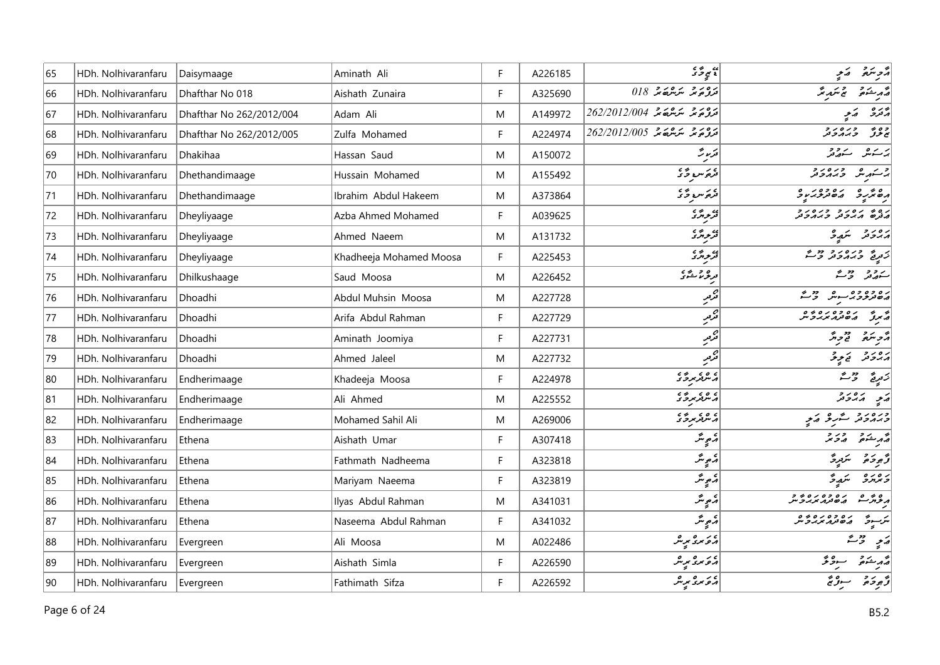| 65           | HDh. Nolhivaranfaru | Daisymaage               | Aminath Ali             | F         | A226185 | پی پیچ دی<br>  پی پیچ دی                 | أروسم<br>برنو                                                                 |
|--------------|---------------------|--------------------------|-------------------------|-----------|---------|------------------------------------------|-------------------------------------------------------------------------------|
| 66           | HDh. Nolhivaranfaru | Dhafthar No 018          | Aishath Zunaira         | F         | A325690 | ىرە بەر بىر بىرى تەرە                    | ة مشوق من المجمع المجموعة<br>1.40 من المجموعة<br>1.40 من المجموعة             |
| 67           | HDh. Nolhivaranfaru | Dhafthar No 262/2012/004 | Adam Ali                | ${\sf M}$ | A149972 | تروى ئىر ئىر ئىر 262/2012/004            |                                                                               |
| 68           | HDh. Nolhivaranfaru | Dhafthar No 262/2012/005 | Zulfa Mohamed           | F         | A224974 | <i>262/2012/005 كەن 262/2012/005</i>     | ورەر د<br><i>دى</i> رگەر<br>ە 29 مۇ<br>ئىمىخىل                                |
| 69           | HDh. Nolhivaranfaru | Dhakihaa                 | Hassan Saud             | M         | A150072 | قدىرىتە                                  | برسەش سەھەتىر                                                                 |
| 70           | HDh. Nolhivaranfaru | Dhethandimaage           | Hussain Mohamed         | M         | A155492 | ې ئەھەمبە ئ <sup>ى</sup> رى              | ج شهر شده در د                                                                |
| 71           | HDh. Nolhivaranfaru | Dhethandimaage           | Ibrahim Abdul Hakeem    | M         | A373864 | ې ئەھەمبىيە ئەسمىيە<br>ئىرتقى سىرىرى     | مەئرىرى مەدرورىدە                                                             |
| 72           | HDh. Nolhivaranfaru | Dheyliyaage              | Azba Ahmed Mohamed      | F         | A039625 | ں<br>ترم پر د                            | גם ז גם ג כ גרים ג כ<br>הבנים הגבת בגהבת                                      |
| 73           | HDh. Nolhivaranfaru | Dheyliyaage              | Ahmed Naeem             | ${\sf M}$ | A131732 | ەر<br>ترىپەترى                           | د د د سمده                                                                    |
| 74           | HDh. Nolhivaranfaru | Dheyliyaage              | Khadheeja Mohamed Moosa | F         | A225453 | شرچرین<br>  قرمزینی                      | دره دره دره دره در در در در ک                                                 |
| 75           | HDh. Nolhivaranfaru | Dhilkushaage             | Saud Moosa              | M         | A226452 | در 2 و 2 دیم<br>در تر را شو <sub>ک</sub> | سەدە دەپ                                                                      |
| 76           | HDh. Nolhivaranfaru | Dhoadhi                  | Abdul Muhsin Moosa      | M         | A227728 | ارجمير                                   | גם כם כם הם נכשי<br>הסטק <i>ב כ</i> ה היית נכ"ל                               |
| 77           | HDh. Nolhivaranfaru | Dhoadhi                  | Arifa Abdul Rahman      | F         | A227729 | جمعر                                     | 2201020101                                                                    |
| 78           | HDh. Nolhivaranfaru | Dhoadhi                  | Aminath Joomiya         | F         | A227731 | اچ<br>فرمبر                              | أأدبتكم فيحرار                                                                |
| 79           | HDh. Nolhivaranfaru | Dhoadhi                  | Ahmed Jaleel            | M         | A227732 | اچ<br>مرس                                | پروژو کے یوگی                                                                 |
| 80           | HDh. Nolhivaranfaru | Endherimaage             | Khadeeja Moosa          | F         | A224978 | ء عروز سرچری<br> -                       |                                                                               |
| 81           | HDh. Nolhivaranfaru | Endherimaage             | Ali Ahmed               | M         | A225552 | پر عروجہ تر تر تر تر                     | أرشح أرشده والمحمد                                                            |
| 82           | HDh. Nolhivaranfaru | Endherimaage             | Mohamed Sahil Ali       | M         | A269006 | پر مرکز پر دی<br>  پر مرکز پر دی         | ورەرو شرو مو                                                                  |
| 83           | HDh. Nolhivaranfaru | Ethena                   | Aishath Umar            | F         | A307418 | وهويتر                                   | 777 774                                                                       |
| 84           | HDh. Nolhivaranfaru | Ethena                   | Fathmath Nadheema       | F         | A323818 | ې په پېژ<br>مر <sub>غ</sub> پېژ          | ۇ بوز ئە<br>سرتورگ                                                            |
| 85           | HDh. Nolhivaranfaru | Ethena                   | Mariyam Naeema          | F         | A323819 | ې په پېژ<br>مر <sub>غ</sub> پېژ          | ستعدقه<br>ر ه ر ه<br><del>د</del> بربرو                                       |
| 86           | HDh. Nolhivaranfaru | Ethena                   | Ilyas Abdul Rahman      | ${\sf M}$ | A341031 | وهمومتر                                  | ر ه و ه د ه د و<br>پرې تر پر برگر<br>ەر بۇرىشە                                |
| 87           | HDh. Nolhivaranfaru | Ethena                   | Naseema Abdul Rahman    | F         | A341032 | م مويتر<br> -                            | ر ه د ه د ه د ه<br>پره تربر <del>ب</del> رر <del>و</del> س<br>ىئەسەدىچە<br>ئە |
| 88           | HDh. Nolhivaranfaru | Evergreen                | Ali Moosa               | ${\sf M}$ | A022486 | ە ئەسرە بېرى <i>ش</i>                    | $23 - 5$                                                                      |
| 89           | HDh. Nolhivaranfaru | Evergreen                | Aishath Simla           | F         | A226590 | پرېم پر پر پر                            | و مر شو د<br>مر<br>ے پیچھ<br>پ                                                |
| $ 90\rangle$ | HDh. Nolhivaranfaru | Evergreen                | Fathimath Sifza         | F         | A226592 | ە ئەسرە بېرى <i>ش</i>                    | وُجِودَهُ سِنْ حَ                                                             |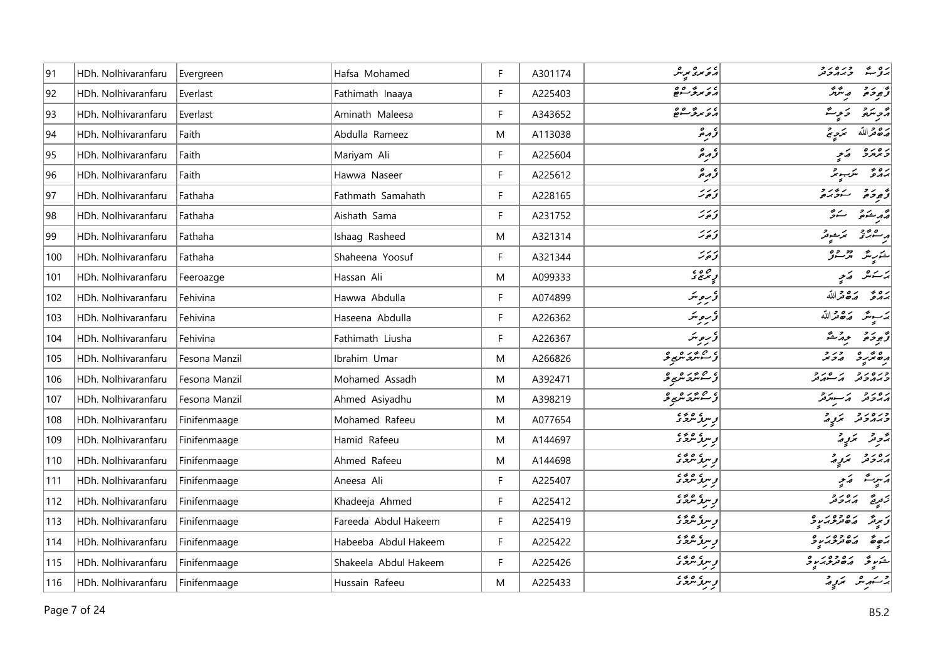| 91  | HDh. Nolhivaranfaru | Evergreen     | Hafsa Mohamed         | F         | A301174 | پرې پر ه پر پر                         | و رە ر د<br><i>د بە</i> د تر<br>برو پڑ       |
|-----|---------------------|---------------|-----------------------|-----------|---------|----------------------------------------|----------------------------------------------|
| 92  | HDh. Nolhivaranfaru | Everlast      | Fathimath Inaaya      | F         | A225403 | ى بە بەرگە ھ<br>مەن ئەرگە سىزە         | ەرشىز<br>ومجمج وحمح                          |
| 93  | HDh. Nolhivaranfaru | Everlast      | Aminath Maleesa       | F         | A343652 | ى ئەرتەرە ھ                            | أزدبتهم<br>ئەمەيەتە<br>ئىق                   |
| 94  | HDh. Nolhivaranfaru | Faith         | Abdulla Rameez        | M         | A113038 | كومره                                  | ەھىراللە<br>بمرحري                           |
| 95  | HDh. Nolhivaranfaru | Faith         | Mariyam Ali           | F         | A225604 | ومرمح                                  | ر ه بر ه<br>تر <del>ب</del> ر بر ژ<br>ەزىر   |
| 96  | HDh. Nolhivaranfaru | Faith         | Hawwa Naseer          | F         | A225612 | تومره                                  | برە ئەسىرىمى                                 |
| 97  | HDh. Nolhivaranfaru | Fathaha       | Fathmath Samahath     | F         | A228165 | ۇ ئەز                                  | سەۋىرە<br>ۇ بۇ جۇ ج                          |
| 98  | HDh. Nolhivaranfaru | Fathaha       | Aishath Sama          | F         | A231752 | ۇ ئەز                                  | $rac{3}{2}$                                  |
| 99  | HDh. Nolhivaranfaru | Fathaha       | Ishaag Rasheed        | ${\sf M}$ | A321314 | ۇ ئەز                                  | أراه المحمد المحمد المحمد المحمد             |
| 100 | HDh. Nolhivaranfaru | Fathaha       | Shaheena Yoosuf       | F         | A321344 | ۇ ئەز                                  | ڪ پڻ هو <i>دو</i><br>په هر هو شور            |
| 101 | HDh. Nolhivaranfaru | Feeroazge     | Hassan Ali            | M         | A099333 | و ۵ ۵ م<br>په ترېخ <sub>ک</sub>        | أيز ستاها أورمي                              |
| 102 | HDh. Nolhivaranfaru | Fehivina      | Hawwa Abdulla         | F         | A074899 |                                        | بروء رووالله                                 |
| 103 | HDh. Nolhivaranfaru | Fehivina      | Haseena Abdulla       | F         | A226362 |                                        | ترىيەتتر كەھ قراللە                          |
| 104 | HDh. Nolhivaranfaru | Fehivina      | Fathimath Liusha      | F         | A226367 | ۇ <sub>مەھ بىتى</sub>                  | وتموذه ورمش                                  |
| 105 | HDh. Nolhivaranfaru | Fesona Manzil | Ibrahim Umar          | M         | A266826 | <mark>، جى</mark> ئەتەش <sub>ە</sub> ۋ | $512$ $510$                                  |
| 106 | HDh. Nolhivaranfaru | Fesona Manzil | Mohamed Assadh        | M         | A392471 | ۇ ش <sub>ى</sub> ر ئەھمىي ئە           | כנסגב גםגב<br><i>בג</i> ובע ה'-יו <i>ה</i> ב |
| 107 | HDh. Nolhivaranfaru | Fesona Manzil | Ahmed Asiyadhu        | M         | A398219 | <i>ۇ مەيز مىي</i> رو                   | أرور والمستركز                               |
| 108 | HDh. Nolhivaranfaru | Finifenmaage  | Mohamed Rafeeu        | M         | A077654 | اربىرۇ يودە                            | وره رو در در<br>د بر د در برگی               |
| 109 | HDh. Nolhivaranfaru | Finifenmaage  | Hamid Rafeeu          | M         | A144697 | ر سرگە ئەم <sup>دى</sup>               | أراد محتار المحمد المحمد المحمد              |
| 110 | HDh. Nolhivaranfaru | Finifenmaage  | Ahmed Rafeeu          | M         | A144698 | اوبىرۇ ھەمچ                            | رەرد پرَوٍږ                                  |
| 111 | HDh. Nolhivaranfaru | Finifenmaage  | Aneesa Ali            | F         | A225407 | وسوعدة                                 | ړښې په په                                    |
| 112 | HDh. Nolhivaranfaru | Finifenmaage  | Khadeeja Ahmed        | F         | A225412 | اربېږدونه                              | زَمْرِيحَ كَمَارُوْتُر                       |
| 113 | HDh. Nolhivaranfaru | Finifenmaage  | Fareeda Abdul Hakeem  | F         | A225419 | اربىرۇ چوتى                            | ترىيىتى مەھىرى بىرى                          |
| 114 | HDh. Nolhivaranfaru | Finifenmaage  | Habeeba Abdul Hakeem  | F         | A225422 | اربىدىمدى                              | رە دەرورى                                    |
| 115 | HDh. Nolhivaranfaru | Finifenmaage  | Shakeela Abdul Hakeem | F         | A225426 | و سرو مرد <sup>ی</sup>                 | ره ده در ره<br>پره ترور رو<br>ىشكىرىتى       |
| 116 | HDh. Nolhivaranfaru | Finifenmaage  | Hussain Rafeeu        | ${\sf M}$ | A225433 | ى <sub>ر س</sub> ۇ ئىرگە ئ             | برستهر شركر كركر وكا                         |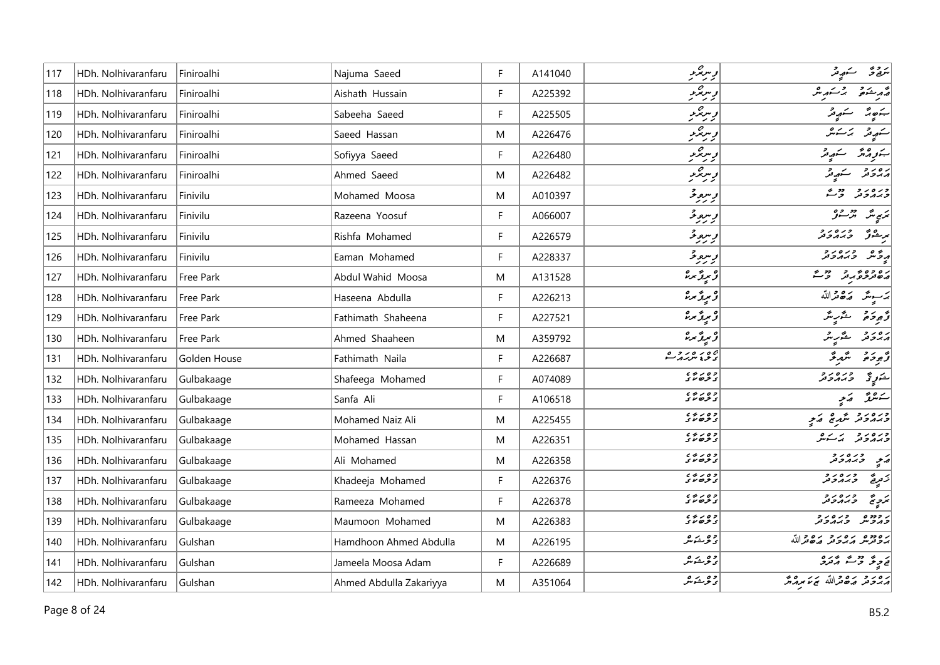| 117 | HDh. Nolhivaranfaru | Finiroalhi   | Najuma Saeed            | F  | A141040 | وسرچمو                                          | سرة محمد السكر من المريض<br>مستقبل المستقبل                                                                                                                                                                                      |
|-----|---------------------|--------------|-------------------------|----|---------|-------------------------------------------------|----------------------------------------------------------------------------------------------------------------------------------------------------------------------------------------------------------------------------------|
| 118 | HDh. Nolhivaranfaru | Finiroalhi   | Aishath Hussain         | F  | A225392 | وسرچمو                                          | و<br>مەرشۇق برگىرىش                                                                                                                                                                                                              |
| 119 | HDh. Nolhivaranfaru | Finiroalhi   | Sabeeha Saeed           | F. | A225505 | وسرچمو                                          | $\frac{2}{2}$<br>سەھەتىر                                                                                                                                                                                                         |
| 120 | HDh. Nolhivaranfaru | Finiroalhi   | Saeed Hassan            | M  | A226476 | وسرچمو                                          | سكورة كالسكاند                                                                                                                                                                                                                   |
| 121 | HDh. Nolhivaranfaru | Finiroalhi   | Sofiyya Saeed           | F  | A226480 | وسرچمو                                          | سكوره محمد المحمد                                                                                                                                                                                                                |
| 122 | HDh. Nolhivaranfaru | Finiroalhi   | Ahmed Saeed             | M  | A226482 | وسرچمو                                          | رەرو سەرو                                                                                                                                                                                                                        |
| 123 | HDh. Nolhivaranfaru | Finivilu     | Mohamed Moosa           | M  | A010397 | وسره څ                                          | و ر ه ر د<br>د بر د تر                                                                                                                                                                                                           |
| 124 | HDh. Nolhivaranfaru | Finivilu     | Razeena Yoosuf          | F  | A066007 | او سره څه<br><u>ست</u>                          | ىمە پەش تۈر جۇ                                                                                                                                                                                                                   |
| 125 | HDh. Nolhivaranfaru | Finivilu     | Rishfa Mohamed          | F  | A226579 | اوسره ژ<br>سيس                                  | برشوش ورەرد                                                                                                                                                                                                                      |
| 126 | HDh. Nolhivaranfaru | Finivilu     | Eaman Mohamed           | F  | A228337 | او سره څه<br><u>په م</u> ړ                      |                                                                                                                                                                                                                                  |
| 127 | HDh. Nolhivaranfaru | Free Park    | Abdul Wahid Moosa       | M  | A131528 | ە بېرىژىمە <sup>0</sup>                         | ره وه پر دوسته<br>اړه ترڅون د و                                                                                                                                                                                                  |
| 128 | HDh. Nolhivaranfaru | Free Park    | Haseena Abdulla         | F  | A226213 | و <sub>مېرنز</sub> ىر،                          | ترىسوىتر كەھ قراللە                                                                                                                                                                                                              |
| 129 | HDh. Nolhivaranfaru | Free Park    | Fathimath Shaheena      | F  | A227521 | ە بېرۇ بر <sup>ە</sup>                          | قرموخرة متقربتر                                                                                                                                                                                                                  |
| 130 | HDh. Nolhivaranfaru | Free Park    | Ahmed Shaaheen          | M  | A359792 | ە بېرۇ برر<br>ئۇسىر                             | رەر ئەسىرىتى<br>مەركىر ئىش <i>رى</i> تى                                                                                                                                                                                          |
| 131 | HDh. Nolhivaranfaru | Golden House | Fathimath Naila         | F. | A226687 | ە يەر ەر دە<br>ئەخرى مىر <i>ى</i> رە سە         | رَّجْوَةً مُنْهَرَّةً                                                                                                                                                                                                            |
| 132 | HDh. Nolhivaranfaru | Gulbakaage   | Shafeega Mohamed        | F. | A074089 | وه ر پر د<br>د <del>ن</del> ره مړ               | ڪُنو ٿِرُ<br>و پر و بر و<br>تر ټر څر تر                                                                                                                                                                                          |
| 133 | HDh. Nolhivaranfaru | Gulbakaage   | Sanfa Ali               | F  | A106518 | وه رپر د<br>د <del>تر</del> ځونړۍ               | سەھەتە ھەمبە                                                                                                                                                                                                                     |
| 134 | HDh. Nolhivaranfaru | Gulbakaage   | Mohamed Naiz Ali        | M  | A225455 | و و ر پر ۽<br><sub>ک</sub> موڻ مو               |                                                                                                                                                                                                                                  |
| 135 | HDh. Nolhivaranfaru | Gulbakaage   | Mohamed Hassan          | M  | A226351 | وه ر پر د<br>د <del>تر</del> ه مړ               | ورەرو پرىكە                                                                                                                                                                                                                      |
| 136 | HDh. Nolhivaranfaru | Gulbakaage   | Ali Mohamed             | M  | A226358 | وه ر پر پر<br><b>ی نژ</b> ه تو ت                |                                                                                                                                                                                                                                  |
| 137 | HDh. Nolhivaranfaru | Gulbakaage   | Khadeeja Mohamed        | F. | A226376 | و و ر پر ۽<br>ي <del>تر</del> ه ما <sub>ک</sub> | زىرە دىرەرد<br>ئىرقى دىمەدىر                                                                                                                                                                                                     |
| 138 | HDh. Nolhivaranfaru | Gulbakaage   | Rameeza Mohamed         | F  | A226378 | و ه د پر پر<br>د نژه مړي                        | ر در دره در<br>مر <i>د</i> ی در در                                                                                                                                                                                               |
| 139 | HDh. Nolhivaranfaru | Gulbakaage   | Maumoon Mohamed         | M  | A226383 | وه رپر د<br>د <del>تر</del> ځونړۍ               | ק כמים המים היבודיים ומודעיים ומודעיים ומודעיים ומודעיים ומודעיים ומודעיים ומודעים ומודעים ומודעים ומודעים ומי<br>מודעיים ומודעיים ומודעיים ומודעיים ומודעיים ומודעיים ומודעיים ומודעיים ומודעיים ומודעיים ומודעיים ומודעיים ומו |
| 140 | HDh. Nolhivaranfaru | Gulshan      | Hamdhoon Ahmed Abdulla  | M  | A226195 | <sup>و و</sup> شترىش                            | ره دوه بره بر و بره و الله                                                                                                                                                                                                       |
| 141 | HDh. Nolhivaranfaru | Gulshan      | Jameela Moosa Adam      | F  | A226689 | <sup>و و</sup> شتر ش                            | ر و و و دره<br>د و د ک                                                                                                                                                                                                           |
| 142 | HDh. Nolhivaranfaru | Gulshan      | Ahmed Abdulla Zakariyya | M  | A351064 | <sup>و و</sup> شترىر                            | رەرو رەولله تم كم مرمار                                                                                                                                                                                                          |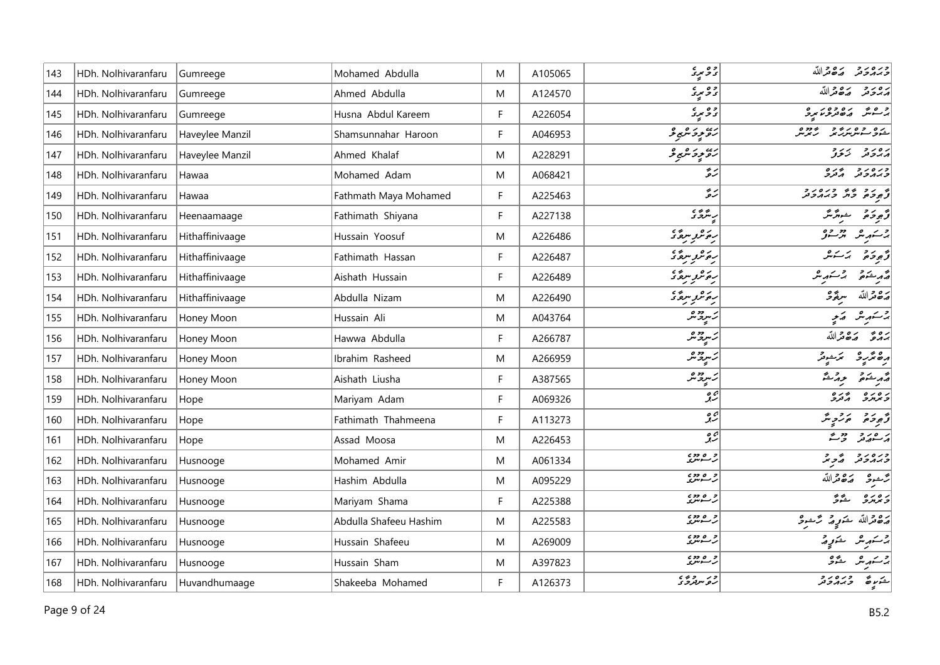| 143 | HDh. Nolhivaranfaru | Gumreege        | Mohamed Abdulla        | M  | A105065 | و ه<br>د و مړنگ                        | وره رو ده دالله                         |
|-----|---------------------|-----------------|------------------------|----|---------|----------------------------------------|-----------------------------------------|
| 144 | HDh. Nolhivaranfaru | Gumreege        | Ahmed Abdulla          | M  | A124570 | و ه<br>د و مړي                         | برورد بره قرالله                        |
| 145 | HDh. Nolhivaranfaru | Gumreege        | Husna Abdul Kareem     | F  | A226054 | و ه<br>د ۶ پېړۍ                        | و مشر پره وه د پره                      |
| 146 | HDh. Nolhivaranfaru | Haveylee Manzil | Shamsunnahar Haroon    | F. | A046953 | رىيې پەر شىر ۋ                         |                                         |
| 147 | HDh. Nolhivaranfaru | Haveylee Manzil | Ahmed Khalaf           | M  | A228291 | رىيې پەيھى پى                          | رەر دىر                                 |
| 148 | HDh. Nolhivaranfaru | Hawaa           | Mohamed Adam           | M  | A068421 | رپچ                                    | ورەر د پرە<br><i>جد</i> ىرىتر كەترى     |
| 149 | HDh. Nolhivaranfaru | Hawaa           | Fathmath Maya Mohamed  | F. | A225463 | رپچ                                    | و د و په وره د و                        |
| 150 | HDh. Nolhivaranfaru | Heenaamaage     | Fathimath Shiyana      | F  | A227138 | ر پیشری می<br>بر پیشر <del>ت</del> ر ی | و محركة الشور الشركتر                   |
| 151 | HDh. Nolhivaranfaru | Hithaffinivaage | Hussain Yoosuf         | M  | A226486 | ىر <i>مۇ</i> گرىزىدۇ ئى                |                                         |
| 152 | HDh. Nolhivaranfaru | Hithaffinivaage | Fathimath Hassan       | F. | A226487 | رە ئىروپىرى <i>مى</i>                  | قويحو برسكر                             |
| 153 | HDh. Nolhivaranfaru | Hithaffinivaage | Aishath Hussain        | F. | A226489 | رۇشۇر بىرقە ئە                         | م مشم <sup>و</sup> جي مشرق              |
| 154 | HDh. Nolhivaranfaru | Hithaffinivaage | Abdulla Nizam          | M  | A226490 | رەڭروپىر <i>ۇ</i> ،                    | أرَّة مَّرَ اللَّهُ مِسْجَّرَةٌ         |
| 155 | HDh. Nolhivaranfaru | Honey Moon      | Hussain Ali            | M  | A043764 | اير دو ه<br>په سرچ مګر                 | بر سکه شهر اندانی                       |
| 156 | HDh. Nolhivaranfaru | Honey Moon      | Hawwa Abdulla          | F  | A266787 | ر<br>سرچينې<br>په                      | بروء روورالله                           |
| 157 | HDh. Nolhivaranfaru | Honey Moon      | Ibrahim Rasheed        | M  | A266959 | ر<br>سرچينې                            | رە ئەر ئەسىم                            |
| 158 | HDh. Nolhivaranfaru | Honey Moon      | Aishath Liusha         | F. | A387565 | ائەيدە چىقە<br>ئىستەتلىكى              |                                         |
| 159 | HDh. Nolhivaranfaru | Hope            | Mariyam Adam           | F  | A069326 | ج و<br>مربو                            |                                         |
| 160 | HDh. Nolhivaranfaru | Hope            | Fathimath Thahmeena    | F. | A113273 | ره<br>رو                               | أزوجي وترجيش                            |
| 161 | HDh. Nolhivaranfaru | Hope            | Assad Moosa            | M  | A226453 | ره و                                   | أرام وداخ المحت                         |
| 162 | HDh. Nolhivaranfaru | Husnooge        | Mohamed Amir           | M  | A061334 | و مەدد ،<br>شەھىرى                     | כנסנכ בב                                |
| 163 | HDh. Nolhivaranfaru | Husnooge        | Hashim Abdulla         | M  | A095229 | و مەددى<br>شەھىرى                      | أُتَّسُوتُ 125 مَّتْدَاللَّهُ           |
| 164 | HDh. Nolhivaranfaru | Husnooge        | Mariyam Shama          | F. | A225388 | د حدود ،<br>ر                          | دەرە ھەتى                               |
| 165 | HDh. Nolhivaranfaru | Husnooge        | Abdulla Shafeeu Hashim | M  | A225583 | و مەددى<br>سەبىرى                      | أرَهْ قُرْاللَّهُ شَوَرٍ مُرَّ سُرْحَرْ |
| 166 | HDh. Nolhivaranfaru | Husnooge        | Hussain Shafeeu        | M  | A269009 | د حدود ،<br>ر                          | رحم المستور                             |
| 167 | HDh. Nolhivaranfaru | Husnooge        | Hussain Sham           | M  | A397823 | و مەددى<br>سەبىرى                      | <u>چرىكى ھۇي</u>                        |
| 168 | HDh. Nolhivaranfaru | Huvandhumaage   | Shakeeba Mohamed       | F. | A126373 | و ر په و ده ،<br>ر و سربرو د           | شركة وره رو                             |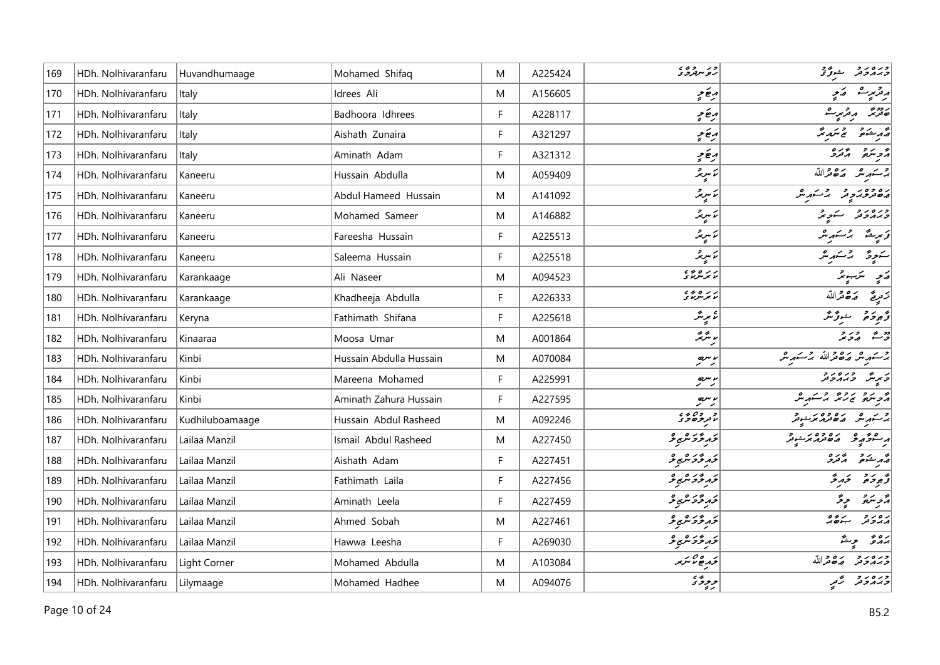| 169 | HDh. Nolhivaranfaru | Huvandhumaage   | Mohamed Shifaq          | M           | A225424 | و ر<br>ره سربرو د                          | ورەرو جوگۇ                                                         |
|-----|---------------------|-----------------|-------------------------|-------------|---------|--------------------------------------------|--------------------------------------------------------------------|
| 170 | HDh. Nolhivaranfaru | Italy           | Idrees Ali              | M           | A156605 | برڪو                                       |                                                                    |
| 171 | HDh. Nolhivaranfaru | Italy           | Badhoora Idhrees        | F           | A228117 | برغوم                                      | د تربر صدر کردید<br>در تاریخ<br>جنربر در تربر شده<br>جنربر در تربر |
| 172 | HDh. Nolhivaranfaru | Italy           | Aishath Zunaira         | F           | A321297 | برغو                                       | پ <sup>و</sup> پر شکره<br>در ک<br>ىچ ئىگە ئىگە                     |
| 173 | HDh. Nolhivaranfaru | Italy           | Aminath Adam            | F           | A321312 | برغو                                       | و سرد و دره                                                        |
| 174 | HDh. Nolhivaranfaru | Kaneeru         | Hussain Abdulla         | M           | A059409 | ئەسەپرىگە<br>ئە                            | جرستمريثر الاقتصالله                                               |
| 175 | HDh. Nolhivaranfaru | Kaneeru         | Abdul Hameed Hussain    | M           | A141092 | ئەسەپىر<br>ئەس                             | رەدە بەر باسكىر                                                    |
| 176 | HDh. Nolhivaranfaru | Kaneeru         | Mohamed Sameer          | M           | A146882 | ئەسەپىر<br>ئ                               | ورودو سکولا<br>ورودو سکولا<br>وی شکر                               |
| 177 | HDh. Nolhivaranfaru | Kaneeru         | Fareesha Hussain        | F           | A225513 | ئەسەپتىر                                   |                                                                    |
| 178 | HDh. Nolhivaranfaru | Kaneeru         | Saleema Hussain         | $\mathsf F$ | A225518 | ئەمىيەتىر                                  | سكورة الاسكرين                                                     |
| 179 | HDh. Nolhivaranfaru | Karankaage      | Ali Naseer              | M           | A094523 | ر ر ه و د ،<br>ما مرس د د                  | ەكىيە سىسىدىگى<br>مەسىمە                                           |
| 180 | HDh. Nolhivaranfaru | Karankaage      | Khadheeja Abdulla       | F           | A226333 | ر ر ه و د ،<br>ما مرس د د                  | ر<br>ترمریح <mark>مرک</mark> مرک                                   |
| 181 | HDh. Nolhivaranfaru | Keryna          | Fathimath Shifana       | F           | A225618 | ئۈمبەتىر                                   | ۇردە خۇنگە                                                         |
| 182 | HDh. Nolhivaranfaru | Kinaaraa        | Moosa Umar              | M           | A001864 | ىرىترىتر                                   | وو ورو                                                             |
| 183 | HDh. Nolhivaranfaru | Kinbi           | Hussain Abdulla Hussain | M           | A070084 | ىر سرى<br>بر                               | ج سكر مركز مركز الله جر سكر مركز                                   |
| 184 | HDh. Nolhivaranfaru | Kinbi           | Mareena Mohamed         | F           | A225991 | ىر سرى<br>بر                               | د پرستر دره رد                                                     |
| 185 | HDh. Nolhivaranfaru | Kinbi           | Aminath Zahura Hussain  | F           | A227595 | ر سرے                                      | أأوسكم بمركب برسكه للر                                             |
| 186 | HDh. Nolhivaranfaru | Kudhiluboamaage | Hussain Abdul Rasheed   | M           | A092246 | و وه وي<br>ما توردن و ي                    | ج کر کے مقدم مرشوقہ                                                |
| 187 | HDh. Nolhivaranfaru | Lailaa Manzil   | Ismail Abdul Rasheed    | M           | A227450 | <i>خەر جۇ ج</i> ىشى بى                     | ر صور ده ده دره ترشور                                              |
| 188 | HDh. Nolhivaranfaru | Lailaa Manzil   | Aishath Adam            | F           | A227451 | خەر ئۇ ئەشرى                               | و در دره<br>د کرد درد                                              |
| 189 | HDh. Nolhivaranfaru | Lailaa Manzil   | Fathimath Laila         | F           | A227456 | ىز بە ئ <sup>ۆ</sup> ز ش <sub>ىنج</sub> ئە | ومجموحة تحدثه                                                      |
| 190 | HDh. Nolhivaranfaru | Lailaa Manzil   | Aminath Leela           | $\mathsf F$ | A227459 | خەر ئۇ ئەشرى                               | أزويني ويؤ                                                         |
| 191 | HDh. Nolhivaranfaru | Lailaa Manzil   | Ahmed Sobah             | M           | A227461 | خەر ئەڭ شىر قە                             | بر 2 د تر<br>م <i>ر</i> بر <del>5</del> تر<br>بەھ                  |
| 192 | HDh. Nolhivaranfaru | Lailaa Manzil   | Hawwa Leesha            | F           | A269030 | خەر ئۇ ئەشرى                               | زارة وِتْ                                                          |
| 193 | HDh. Nolhivaranfaru | Light Corner    | Mohamed Abdulla         | M           | A103084 | لجدوه عكرته                                | و ر ه ر د<br>تر پر ژ تر<br>مَە قىراللە                             |
| 194 | HDh. Nolhivaranfaru | Lilymaage       | Mohamed Hadhee          | M           | A094076 | ووڈ ء<br>ر                                 | وره رو گې                                                          |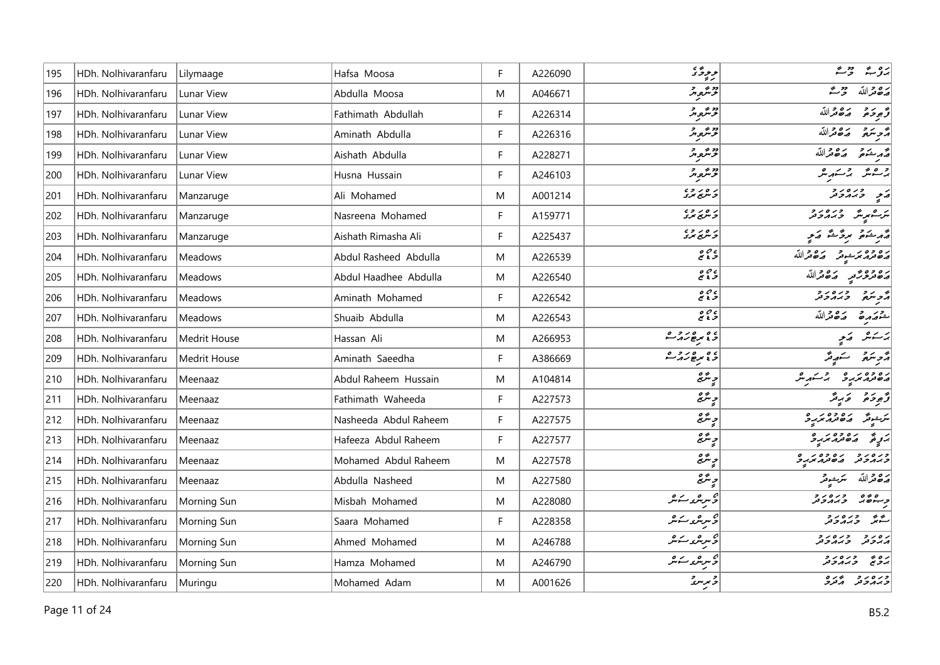| 195 | HDh. Nolhivaranfaru | Lilymaage           | Hafsa Moosa           | F           | A226090 | ووڈ ڈ<br>ر                                                                 | درمیه<br>برويد                                        |
|-----|---------------------|---------------------|-----------------------|-------------|---------|----------------------------------------------------------------------------|-------------------------------------------------------|
| 196 | HDh. Nolhivaranfaru | <b>Lunar View</b>   | Abdulla Moosa         | M           | A046671 | وديحر و                                                                    | مەھىراللە                                             |
| 197 | HDh. Nolhivaranfaru | Lunar View          | Fathimath Abdullah    | F           | A226314 | لخرمثر فر                                                                  | وكحصرالله<br>ۇ بوز ئ                                  |
| 198 | HDh. Nolhivaranfaru | Lunar View          | Aminath Abdulla       | F           | A226316 | فرمثره بز                                                                  | و څخه سرچ<br>مَە قىراللە                              |
| 199 | HDh. Nolhivaranfaru | Lunar View          | Aishath Abdulla       | $\mathsf F$ | A228271 | فرمثره بز                                                                  | مُ مشمر مَصْعَراللّه                                  |
| 200 | HDh. Nolhivaranfaru | Lunar View          | Husna Hussain         | F           | A246103 | دد مه د                                                                    | ير ششر المرسم المرسر                                  |
| 201 | HDh. Nolhivaranfaru | Manzaruge           | Ali Mohamed           | M           | A001214 | ر ۵ ر و ۷<br><del>د</del> سر <sub>کا</sub> برد                             |                                                       |
| 202 | HDh. Nolhivaranfaru | Manzaruge           | Nasreena Mohamed      | $\mathsf F$ | A159771 | ر ۵ ر و ،<br>تر شریح بوری                                                  | تركوبرتر وبرەرد<br>تركوبرتر <i>وب</i> روتر            |
| 203 | HDh. Nolhivaranfaru | Manzaruge           | Aishath Rimasha Ali   | F           | A225437 | ر ۵ ر د ۷<br>ترس مرد                                                       | <i>ەگە</i> شەھ برۇشگە كەي<br>1959-يىلىنىڭ كەن ئاللە   |
| 204 | HDh. Nolhivaranfaru | Meadows             | Abdul Rasheed Abdulla | M           | A226539 | 882                                                                        |                                                       |
| 205 | HDh. Nolhivaranfaru | Meadows             | Abdul Haadhee Abdulla | M           | A226540 | $\overset{o}{\mathcal{E}}\overset{C}{\mathcal{E}}\overset{C}{\mathcal{S}}$ | برە دە دېر پەھىراللە                                  |
| 206 | HDh. Nolhivaranfaru | Meadows             | Aminath Mohamed       | F           | A226542 | 282                                                                        | ء رو وره دو د                                         |
| 207 | HDh. Nolhivaranfaru | <b>Meadows</b>      | Shuaib Abdulla        | M           | A226543 | 222                                                                        | شور ده ده ترالله                                      |
| 208 | HDh. Nolhivaranfaru | <b>Medrit House</b> | Hassan Ali            | M           | A266953 | <sup>ى م</sup> وجو <i>مەدر</i>                                             | برستاند المجامع                                       |
| 209 | HDh. Nolhivaranfaru | Medrit House        | Aminath Saeedha       | F           | A386669 | ، <i>، ، ، ، ، ، ،</i> ،                                                   |                                                       |
| 210 | HDh. Nolhivaranfaru | Meenaaz             | Abdul Raheem Hussain  | M           | A104814 | جریٹرچ                                                                     |                                                       |
| 211 | HDh. Nolhivaranfaru | Meenaaz             | Fathimath Waheeda     | F           | A227573 | جريثرمج                                                                    |                                                       |
| 212 | HDh. Nolhivaranfaru | Meenaaz             | Nasheeda Abdul Raheem | F           | A227575 | جريثره                                                                     |                                                       |
| 213 | HDh. Nolhivaranfaru | Meenaaz             | Hafeeza Abdul Raheem  | F           | A227577 | جريثرمج                                                                    | ر و ده ده در و                                        |
| 214 | HDh. Nolhivaranfaru | Meenaaz             | Mohamed Abdul Raheem  | M           | A227578 | جریٹرم                                                                     | כנסני נסיכסנים                                        |
| 215 | HDh. Nolhivaranfaru | Meenaaz             | Abdulla Nasheed       | M           | A227580 | جريثرمج                                                                    | برة قرالله كرشوقر                                     |
| 216 | HDh. Nolhivaranfaru | Morning Sun         | Misbah Mohamed        | M           | A228080 | ە بىر بىرى كەنگە<br>مەس                                                    | و ر ه ر د<br>تر پروتر<br>وسقصر                        |
| 217 | HDh. Nolhivaranfaru | Morning Sun         | Saara Mohamed         | $\mathsf F$ | A228358 | ۇ بىر بىرى كەنگە<br>م                                                      | ر می دره د د<br>سنگر وبروور                           |
| 218 | HDh. Nolhivaranfaru | Morning Sun         | Ahmed Mohamed         | M           | A246788 | ۇ بىر بىرى كەنگە                                                           | و ر ه ر د<br>تر پر ژ تر<br>ر ە ر د<br>م <i>.ئ</i> رىر |
| 219 | HDh. Nolhivaranfaru | Morning Sun         | Hamza Mohamed         | M           | A246790 | 3 سرب <i>گری سک</i> ھر                                                     | ر ه و<br>و ر ه ر و<br>تر پر تر تر                     |
| 220 | HDh. Nolhivaranfaru | Muringu             | Mohamed Adam          | M           | A001626 | ا 3 مرسر ?                                                                 | כנסנכ שנם<br><i>כג</i> ובבת ובב                       |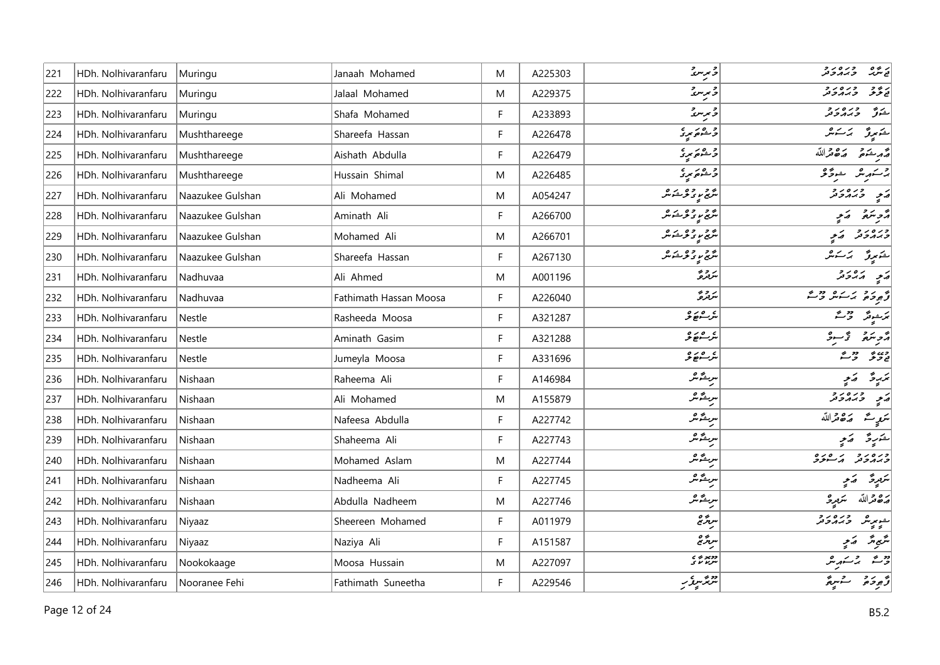| 221 | HDh. Nolhivaranfaru | Muringu          | Janaah Mohamed         | M         | A225303 | ومرسر                                | و ره ر د<br><i>د ټ</i> رن<br>پر پژه<br>قع سگر <sup>م</sup>                                                                                                                                                                                             |
|-----|---------------------|------------------|------------------------|-----------|---------|--------------------------------------|--------------------------------------------------------------------------------------------------------------------------------------------------------------------------------------------------------------------------------------------------------|
| 222 | HDh. Nolhivaranfaru | Muringu          | Jalaal Mohamed         | M         | A229375 | وحمرسر                               | و ر ه ر و<br><i>و پر</i> گرفر<br>ىر بەر<br>ق قرقر                                                                                                                                                                                                      |
| 223 | HDh. Nolhivaranfaru | Muringu          | Shafa Mohamed          | F         | A233893 | <br> خ <sup>ى</sup> رسى <sup>1</sup> | ر دره دره<br>خوتر دبردونر                                                                                                                                                                                                                              |
| 224 | HDh. Nolhivaranfaru | Mushthareege     | Shareefa Hassan        | F         | A226478 | و هو ته سره<br>تر هو ته ته           | ىشەمبەرىگە<br>ئە<br>برسەيىتىر                                                                                                                                                                                                                          |
| 225 | HDh. Nolhivaranfaru | Mushthareege     | Aishath Abdulla        | F         | A226479 | و هې د پرې<br>د شوم مړي              | صمر شدة صدر الله                                                                                                                                                                                                                                       |
| 226 | HDh. Nolhivaranfaru | Mushthareege     | Hussain Shimal         | M         | A226485 | د هېم مړي<br>تر شوه مړي              | چە سەر سىر ئەرگى                                                                                                                                                                                                                                       |
| 227 | HDh. Nolhivaranfaru | Naazukee Gulshan | Ali Mohamed            | ${\sf M}$ | A054247 | ە چەر چەھ يەر<br>مەن پەن ئوشۇمىتى    | ر دره دره در د                                                                                                                                                                                                                                         |
| 228 | HDh. Nolhivaranfaru | Naazukee Gulshan | Aminath Ali            | F         | A266700 | ﯩ <i>ﯘ</i> ﭼﯩﺮ 2.2-ﻳﯩﮕﯩ              | أأدمش أأبيح                                                                                                                                                                                                                                            |
| 229 | HDh. Nolhivaranfaru | Naazukee Gulshan | Mohamed Ali            | ${\sf M}$ | A266701 | ى <i>گەنمى ئى</i> گەشكەنگر           | ورەرو كەي                                                                                                                                                                                                                                              |
| 230 | HDh. Nolhivaranfaru | Naazukee Gulshan | Shareefa Hassan        | F         | A267130 | ى <i>گەنجى ئە</i> كەشكەنلەر          | شەپرۇ    ياسەش                                                                                                                                                                                                                                         |
| 231 | HDh. Nolhivaranfaru | Nadhuvaa         | Ali Ahmed              | M         | A001196 | ر و ه<br>سرتروگ                      | $\frac{222}{2}$                                                                                                                                                                                                                                        |
| 232 | HDh. Nolhivaranfaru | Nadhuvaa         | Fathimath Hassan Moosa | F         | A226040 | ر و ر<br>سربر گ                      | تقريره برسكر وللمستخبر                                                                                                                                                                                                                                 |
| 233 | HDh. Nolhivaranfaru | Nestle           | Rasheeda Moosa         | F         | A321287 | ىر <u>م</u> ور ۋ                     | $\begin{array}{cc} \begin{array}{cc} \mathcal{P} & \mathcal{P} & \mathcal{P} \\ \mathcal{P} & \mathcal{P} & \mathcal{P} \end{array} \\ \begin{array}{cc} \mathcal{P} & \mathcal{P} & \mathcal{P} \\ \mathcal{P} & \mathcal{P} \end{array} \end{array}$ |
| 234 | HDh. Nolhivaranfaru | Nestle           | Aminath Gasim          | F         | A321288 | ىر <u>مەم</u> بۇ                     | أأرمز المسافر                                                                                                                                                                                                                                          |
| 235 | HDh. Nolhivaranfaru | Nestle           | Jumeyla Moosa          | F         | A331696 | ىر <u>مەم</u> بۇ                     | ا دەرە ئەسىم                                                                                                                                                                                                                                           |
| 236 | HDh. Nolhivaranfaru | Nishaan          | Raheema Ali            | F         | A146984 | اسريقيقر                             |                                                                                                                                                                                                                                                        |
| 237 | HDh. Nolhivaranfaru | Nishaan          | Ali Mohamed            | M         | A155879 | اسبشگ                                |                                                                                                                                                                                                                                                        |
| 238 | HDh. Nolhivaranfaru | Nishaan          | Nafeesa Abdulla        | F         | A227742 | اسبشق                                | ىئىدىم<br>وكحصالله                                                                                                                                                                                                                                     |
| 239 | HDh. Nolhivaranfaru | Nishaan          | Shaheema Ali           | F         | A227743 | اسريقيقر                             | $\begin{array}{cc} \bullet & \bullet & \bullet \\ \bullet & \bullet & \bullet \\ \bullet & \bullet & \bullet \end{array}$                                                                                                                              |
| 240 | HDh. Nolhivaranfaru | Nishaan          | Mohamed Aslam          | M         | A227744 | اسریشر<br>پر                         | ورەرو دەرە                                                                                                                                                                                                                                             |
| 241 | HDh. Nolhivaranfaru | Nishaan          | Nadheema Ali           | F         | A227745 | ا <sub>سویش</sub> ر<br>پ             | سَمِرِیَّ سَرِ<br>سَمَرِیَّ سَرَمِرِیْ<br>سَ®مَّراللّه سَرَمَرِیْ                                                                                                                                                                                      |
| 242 | HDh. Nolhivaranfaru | Nishaan          | Abdulla Nadheem        | M         | A227746 | اسريقيقر                             |                                                                                                                                                                                                                                                        |
| 243 | HDh. Nolhivaranfaru | Niyaaz           | Sheereen Mohamed       | F         | A011979 | سرگرم                                | اڪوبريگر<br>ڪڪ<br>و ر ه ر و<br>تر پر ژ تر                                                                                                                                                                                                              |
| 244 | HDh. Nolhivaranfaru | Niyaaz           | Naziya Ali             | F         | A151587 | سرمرج                                |                                                                                                                                                                                                                                                        |
| 245 | HDh. Nolhivaranfaru | Nookokaage       | Moosa Hussain          | M         | A227097 | دد پر دی<br>سربر بر ی                | شيء شير<br>شيء شير                                                                                                                                                                                                                                     |
| 246 | HDh. Nolhivaranfaru | Nooranee Fehi    | Fathimath Suneetha     | F         | A229546 | تر پر موکر<br>سرچينې                 | أَوْجِعَةٍ وَسَمْسِعَةٍ                                                                                                                                                                                                                                |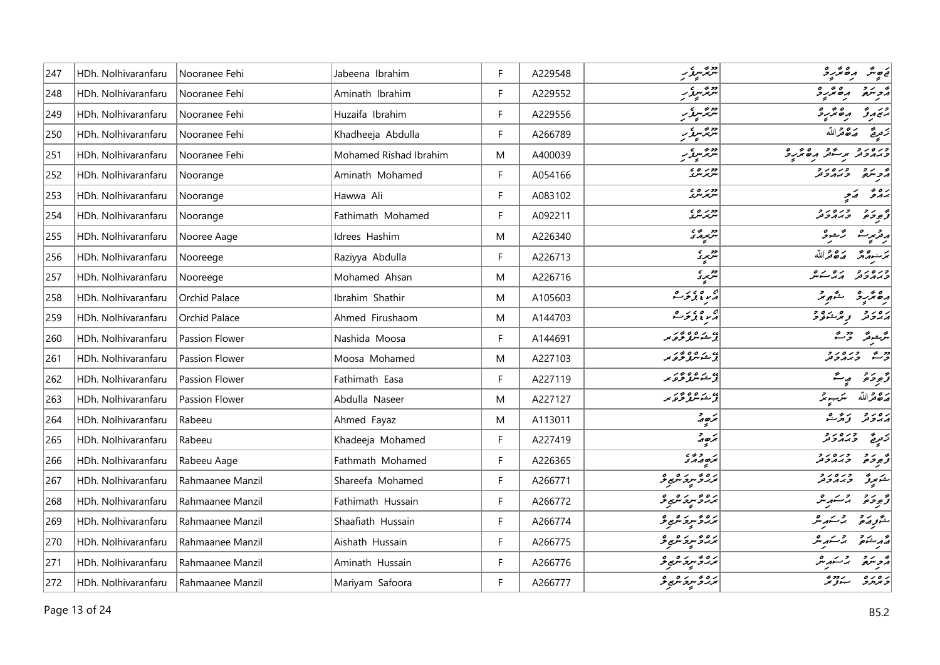| 247 | HDh. Nolhivaranfaru | Nooranee Fehi         | Jabeena Ibrahim        | F  | A229548 | مىز ئەسىرىگە سە<br>ئەسىرىسىز                                     | 0 20<br>ر<br>قوچىگر<br>برے مورو               |
|-----|---------------------|-----------------------|------------------------|----|---------|------------------------------------------------------------------|-----------------------------------------------|
| 248 | HDh. Nolhivaranfaru | Nooranee Fehi         | Aminath Ibrahim        | F  | A229552 | يزير يبروس<br>سربر س <sub>ي</sub> ر                              | ەھ ئۆر ۋ<br>أرمز بترة                         |
| 249 | HDh. Nolhivaranfaru | Nooranee Fehi         | Huzaifa Ibrahim        | F  | A229556 | چرمپروگر<br>سرمرسروگر                                            | ەر ھەترىر ۋ<br>رحم مر تر<br>مربح مر تر        |
| 250 | HDh. Nolhivaranfaru | Nooranee Fehi         | Khadheeja Abdulla      | F  | A266789 | لترنگسویکر<br>سرنگسویکر                                          | نرَمْرِيَّحَ<br>وكحصقرالله                    |
| 251 | HDh. Nolhivaranfaru | Nooranee Fehi         | Mohamed Rishad Ibrahim | M  | A400039 | چېږينې<br>سربېرسر                                                | כנסני תשים, תסתנים                            |
| 252 | HDh. Nolhivaranfaru | Noorange              | Aminath Mohamed        | F  | A054166 | دد ر ه ،<br>سرپرسری                                              | و ره ر د<br>تر پر ژنر<br>أرمز                 |
| 253 | HDh. Nolhivaranfaru | Noorange              | Hawwa Ali              | F  | A083102 | دد بر ۵ بر<br>سرپرسر <sub>ک</sub>                                | دەۋە مەر                                      |
| 254 | HDh. Nolhivaranfaru | Noorange              | Fathimath Mohamed      | F  | A092211 | دد بر ه ،<br>سرپرسر                                              | و دو دره در                                   |
| 255 | HDh. Nolhivaranfaru | Nooree Aage           | Idrees Hashim          | M  | A226340 | دو په په<br>سر <sub>سي</sub> د د                                 | ىرقىمى <sup>ت</sup> ئىشوۋ                     |
| 256 | HDh. Nolhivaranfaru | Nooreege              | Raziyya Abdulla        | F  | A226713 | دد<br>مترسمي د                                                   | بمنبوره مكافرالله                             |
| 257 | HDh. Nolhivaranfaru | Nooreege              | Mohamed Ahsan          | M  | A226716 | دد<br>مترسری                                                     | ورەرو رەپ                                     |
| 258 | HDh. Nolhivaranfaru | Orchid Palace         | Ibrahim Shathir        | M  | A105603 | ەر بەي ئەسىسى<br>مەس                                             | رەپرىرە ش <sub>ەھ</sub> ر                     |
| 259 | HDh. Nolhivaranfaru | <b>Orchid Palace</b>  | Ahmed Firushaom        | M  | A144703 | ەر موء ئە ئە <sup>م</sup> ە                                      | رەرد پەشھەر                                   |
| 260 | HDh. Nolhivaranfaru | Passion Flower        | Nashida Moosa          | F  | A144691 | ى شەھر <i>و ئەتە</i> ر                                           | ديسته<br>سَّرْشەندَّر                         |
| 261 | HDh. Nolhivaranfaru | <b>Passion Flower</b> | Moosa Mohamed          | M  | A227103 | ،، ، ، ، ، <i>، ، ، ،</i><br>بۇ خەسم <i>بۇ</i> <del>ق</del> رىمد | دیں مش<br>و رە ر د<br>تر پر تر تر             |
| 262 | HDh. Nolhivaranfaru | Passion Flower        | Fathimath Easa         | F. | A227119 | ،، ، ، ، ، <i>، ، ، ،</i><br>بۇ خەسم <i>تى پى</i> رىپ            | ژُودَهُ دٍتٌ                                  |
| 263 | HDh. Nolhivaranfaru | <b>Passion Flower</b> | Abdulla Naseer         | M  | A227127 | » ئەيرە دەپرىر<br>بۇ خىرىنىڭ بۇ بۇ ئەير                          | برە ترالله<br>ىئەسىرىمە                       |
| 264 | HDh. Nolhivaranfaru | Rabeeu                | Ahmed Fayaz            | M  | A113011 | بمرەم                                                            | ر ەر د<br>م.رى<br>ئۆ تەشە                     |
| 265 | HDh. Nolhivaranfaru | Rabeeu                | Khadeeja Mohamed       | F  | A227419 | برەم                                                             | و ره ر د<br>تر پر تر تر<br>نرَمَرِجَّ         |
| 266 | HDh. Nolhivaranfaru | Rabeeu Aage           | Fathmath Mohamed       | F  | A226365 | ת כנית<br>תפו <i>נ</i> ות                                        | و ر ه ر و<br><i>د ب</i> رگرفر<br>وٌ جو حر ح   |
| 267 | HDh. Nolhivaranfaru | Rahmaanee Manzil      | Shareefa Mohamed       | F  | A266771 | ىرە ئ <sup>ە</sup> بېرى ئىرى ئى                                  | ىشەمرۇگە<br>ئ<br>و ره ر و<br><i>د ټ</i> رو تر |
| 268 | HDh. Nolhivaranfaru | Rahmaanee Manzil      | Fathimath Hussain      | F  | A266772 | ىر 2 <sup>م</sup> ەر كەشرىر 2.<br>مەركە ئېرىر كىشرىر             | وٌجوحَ حو<br>ىر ئەسەر بىر<br>مە               |
| 269 | HDh. Nolhivaranfaru | Rahmaanee Manzil      | Shaafiath Hussain      | F  | A266774 | رە ب <sub>ە بىر</sub> ئىرىم ئى                                   | ڪوري چيڪرير                                   |
| 270 | HDh. Nolhivaranfaru | Rahmaanee Manzil      | Aishath Hussain        | F  | A266775 | ىر 2 <sup>م</sup> ەر كەشرىر 2.<br>مەركە ئېرىر كىشرىر             | ۇرىشكى برگىرىگر                               |
| 271 | HDh. Nolhivaranfaru | Rahmaanee Manzil      | Aminath Hussain        | F  | A266776 | ىرە ئ <sup>ې</sup> رىر ئىرىم                                     | أرمز يتمده<br>بر ئەبەر بى <sub>ر</sub>        |
| 272 | HDh. Nolhivaranfaru | Rahmaanee Manzil      | Mariyam Safoora        | F  | A266777 | ىرە ئ <sup>ە</sup> بېرى ئىرى ئى                                  | ر ه ر ه<br><del>ر</del> بربرگ<br>ىبەددىمە     |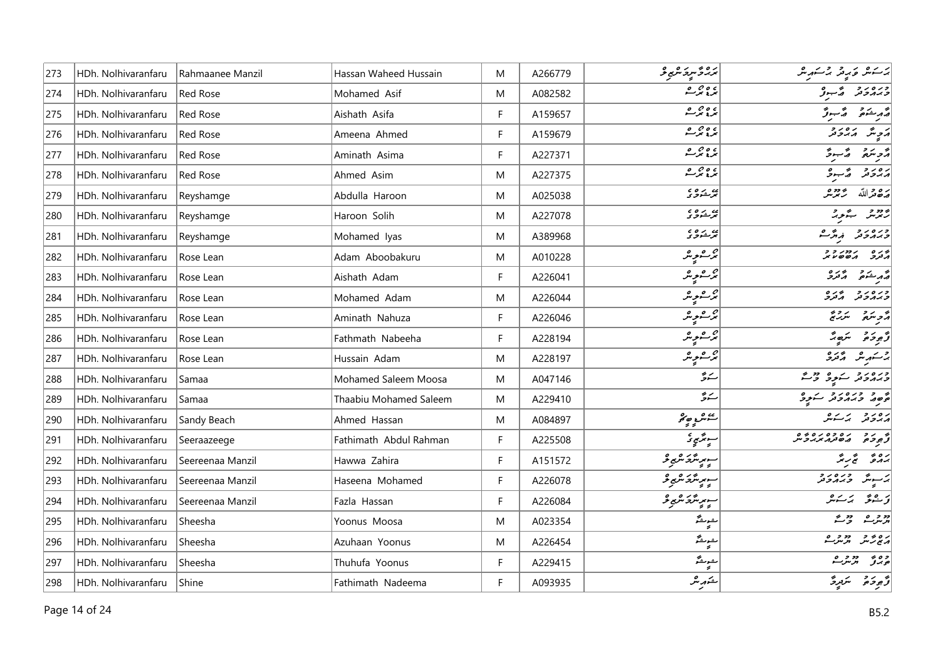| 273 | HDh. Nolhivaranfaru | Rahmaanee Manzil | Hassan Waheed Hussain  | M  | A266779 | ىرە ئ <sup>ە</sup> بېرى ئىرى ئى    | ىرىكىن ئەرقر برىسكەرلىر                                                                                                 |
|-----|---------------------|------------------|------------------------|----|---------|------------------------------------|-------------------------------------------------------------------------------------------------------------------------|
| 274 | HDh. Nolhivaranfaru | Red Rose         | Mohamed Asif           | M  | A082582 | ، ە مېر مە                         |                                                                                                                         |
| 275 | HDh. Nolhivaranfaru | Red Rose         | Aishath Asifa          | F. | A159657 | برہ میرے                           | ومرشوم ومبار                                                                                                            |
| 276 | HDh. Nolhivaranfaru | <b>Red Rose</b>  | Ameena Ahmed           | F. | A159679 | <sup>ي ە ە</sup> ر ھ               | ړې پره دو                                                                                                               |
| 277 | HDh. Nolhivaranfaru | Red Rose         | Aminath Asima          | F  | A227371 | <sup>ى ە ە</sup> م بە              | ومحر الملتج وأسبوخ                                                                                                      |
| 278 | HDh. Nolhivaranfaru | Red Rose         | Ahmed Asim             | M  | A227375 | <sup>ي ە ە</sup> م بە              | גם גב היייב                                                                                                             |
| 279 | HDh. Nolhivaranfaru | Reyshamge        | Abdulla Haroon         | M  | A025038 | ي پره ء<br>مرشتو <del>ر</del> و    | صصرالله<br>مرجوجر                                                                                                       |
| 280 | HDh. Nolhivaranfaru | Reyshamge        | Haroon Solih           | M  | A227078 | ی در ۲۵<br>برشتو <del>ر</del> و    | مودد به در                                                                                                              |
| 281 | HDh. Nolhivaranfaru | Reyshamge        | Mohamed Iyas           | M  | A389968 | ی در ۲۵<br>برشتو <del>ر</del> و    | ورەرو مەھ                                                                                                               |
| 282 | HDh. Nolhivaranfaru | Rose Lean        | Adam Aboobakuru        | M  | A010228 | ترڪبوبتر                           | 77/200<br>پور ہ<br>پر تعری                                                                                              |
| 283 | HDh. Nolhivaranfaru | Rose Lean        | Aishath Adam           | F  | A226041 | ترشوپر                             | أحمد شده المحدد                                                                                                         |
| 284 | HDh. Nolhivaranfaru | Rose Lean        | Mohamed Adam           | M  | A226044 | ە<br>ئىرىشوپىر                     | ورەر دىرە                                                                                                               |
| 285 | HDh. Nolhivaranfaru | Rose Lean        | Aminath Nahuza         | F. | A226046 | ەر مە <sub>م</sub> بەر             | أأدحر المردوم                                                                                                           |
| 286 | HDh. Nolhivaranfaru | Rose Lean        | Fathmath Nabeeha       | F  | A228194 | ە مەمەر بىر<br>ئ                   | توجوخو سكوبة                                                                                                            |
| 287 | HDh. Nolhivaranfaru | Rose Lean        | Hussain Adam           | M  | A228197 | ە ئەھمەر بىر<br>ئ                  | بر سکر مگر محمد برای کرد که برای برای کرد که برای استفاده کرد که به این که به کار میتان کرد که به این که برای<br>مراسمه |
| 288 | HDh. Nolhivaranfaru | Samaa            | Mohamed Saleem Moosa   | M  | A047146 | ستریخ                              | כנסגב הוקל מילי                                                                                                         |
| 289 | HDh. Nolhivaranfaru | Samaa            | Thaabiu Mohamed Saleem | M  | A229410 | ستریخ                              | 2000 crocc - 200                                                                                                        |
| 290 | HDh. Nolhivaranfaru | Sandy Beach      | Ahmed Hassan           | M  | A084897 | يتمشوه كالحج                       | رەرد پرىكە                                                                                                              |
| 291 | HDh. Nolhivaranfaru | Seeraazeege      | Fathimath Abdul Rahman | F. | A225508 | سوټرېږي ته                         | ره وه ره ۶ ه<br>پره تربر تر تر<br>وحجوحهم                                                                               |
| 292 | HDh. Nolhivaranfaru | Seereenaa Manzil | Hawwa Zahira           | F. | A151572 | سەر ئىر ئىگەنلىكى قىل              | برەغ ئې بىر                                                                                                             |
| 293 | HDh. Nolhivaranfaru | Seereenaa Manzil | Haseena Mohamed        | F  | A226078 | – يېرىترىكتى <sub>تى</sub> ئى      | و ر ه ر د<br>تر پر ژ تر<br>ئەسەپىتىر<br>ئ                                                                               |
| 294 | HDh. Nolhivaranfaru | Seereenaa Manzil | Fazla Hassan           | F  | A226084 | – پرېترنه شي څه<br>د پرېترنه شي څه | ۇ ئىقۇ<br>برسەمىر                                                                                                       |
| 295 | HDh. Nolhivaranfaru | Sheesha          | Yoonus Moosa           | M  | A023354 | شرمگر<br>$\boldsymbol{z}$          | در دیگر<br>ست پیشہ                                                                                                      |
| 296 | HDh. Nolhivaranfaru | Sheesha          | Azuhaan Yoonus         | M  | A226454 | الصوندگر<br>گ                      |                                                                                                                         |
| 297 | HDh. Nolhivaranfaru | Sheesha          | Thuhufa Yoonus         | F  | A229415 | ڪوڪر<br>پخ                         | و ه و.<br>موبر تو<br>وديرعه                                                                                             |
| 298 | HDh. Nolhivaranfaru | Shine            | Fathimath Nadeema      | F. | A093935 | ڪورنگر                             | تؤجر كتحم التكبرة                                                                                                       |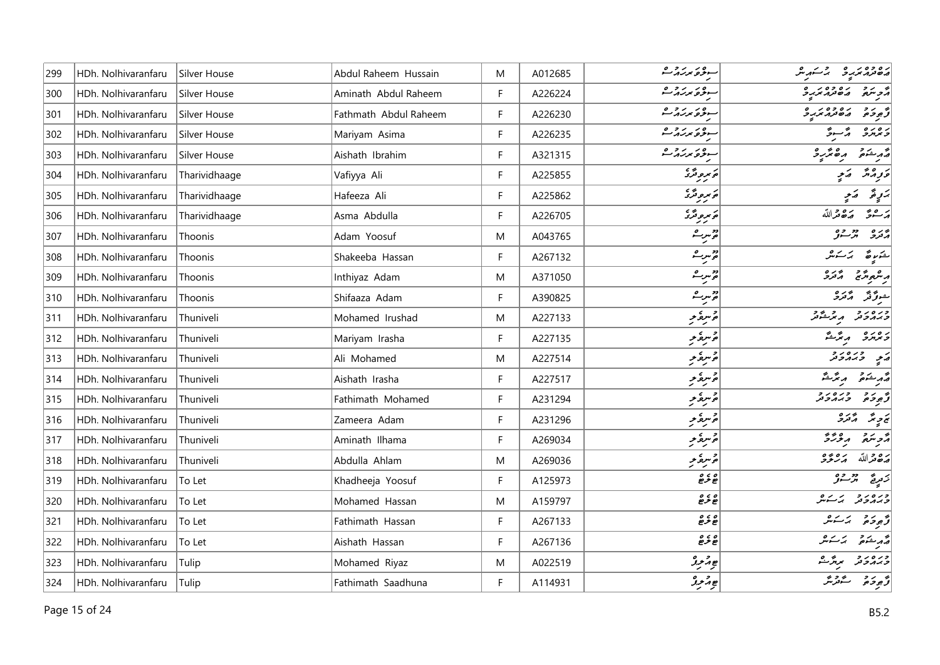| 299 | HDh. Nolhivaranfaru | Silver House   | Abdul Raheem Hussain  | M  | A012685 | سوقە ئەرىر ئە                | ן פי פי גם<br>גם בקח זקה ב<br>جرىسىمە يىر            |
|-----|---------------------|----------------|-----------------------|----|---------|------------------------------|------------------------------------------------------|
| 300 | HDh. Nolhivaranfaru | Silver House   | Aminath Abdul Raheem  | F  | A226224 | ب دى برىر بر د م             | ره وه ر ره<br>پره تربر تربر<br>ړ څر سره              |
| 301 | HDh. Nolhivaranfaru | Silver House   | Fathmath Abdul Raheem | F  | A226230 | سەۋە <i>ئەرزەر</i> م         | ره وه ر <sub>و</sub> ه<br>پره تربر تربر و<br>ۇ بوز ئ |
| 302 | HDh. Nolhivaranfaru | Silver House   | Mariyam Asima         | F  | A226235 | رە ئەيرىر ئەر                | ر ه ر ه<br><del>و</del> بوبرو<br>پر سەيىتى           |
| 303 | HDh. Nolhivaranfaru | Silver House   | Aishath Ibrahim       | F  | A321315 | $\frac{1}{2}$                | ەھ ترىر ۋ<br>و مرشور<br>مسر                          |
| 304 | HDh. Nolhivaranfaru | Tharividhaage  | Vafiyya Ali           | F  | A225855 | ئە ئىرە قرى<br>م             | ى تو مەش<br>ەتىر                                     |
| 305 | HDh. Nolhivaranfaru | Tharividhaage  | Hafeeza Ali           | F  | A225862 | ر<br>حومرع فر <sup>ی</sup>   | پَرۡ پِیۡ ۡ اِ اِ کَے لَّے یَہِ ی                    |
| 306 | HDh. Nolhivaranfaru | Tharividhaage  | Asma Abdulla          | F  | A226705 | ه مروترد<br><u>م</u> حمو ترد | رەپچ<br>ەھىراللە                                     |
| 307 | HDh. Nolhivaranfaru | <b>Thoonis</b> | Adam Yoosuf           | M  | A043765 | دو<br>موسر ب                 | یور ہ<br>مرکز پر<br>دد حرو                           |
| 308 | HDh. Nolhivaranfaru | Thoonis        | Shakeeba Hassan       | F  | A267132 | دد مرت<br>موسر ب             | برسەنلە<br>شەَ بە ھ                                  |
| 309 | HDh. Nolhivaranfaru | <b>Thoonis</b> | Inthiyaz Adam         | M  | A371050 | دد سرے<br>حو                 | ەر سىمبە ھەرىج<br>س<br>پور ہ<br>پرترو                |
| 310 | HDh. Nolhivaranfaru | Thoonis        | Shifaaza Adam         | F  | A390825 | ود <sub>سر</sub> حہ<br>م     | شوقرٌ قُرُ<br>پور ہ<br>مرکزو                         |
| 311 | HDh. Nolhivaranfaru | Thuniveli      | Mohamed Irushad       | M  | A227133 | ومحسرة و                     | وره رو در بخر شور                                    |
| 312 | HDh. Nolhivaranfaru | Thuniveli      | Mariyam Irasha        | F  | A227135 | ە بىرە بىر<br>م              | دەرە مەئىش                                           |
| 313 | HDh. Nolhivaranfaru | Thuniveli      | Ali Mohamed           | M  | A227514 | ۇسرەكر                       | أقدم وره رد                                          |
| 314 | HDh. Nolhivaranfaru | Thuniveli      | Aishath Irasha        | F  | A227517 | ۇ بىرغ <sup>ى</sup> يە       |                                                      |
| 315 | HDh. Nolhivaranfaru | Thuniveli      | Fathimath Mohamed     | F. | A231294 | ومحسرة و                     | و ر ه ر د<br>تر پر ژ تر<br>توجيحته                   |
| 316 | HDh. Nolhivaranfaru | Thuniveli      | Zameera Adam          | F  | A231296 | ە بىرە بىر<br>مۇسرە ئىر      | ىج جەنگە ئەترى                                       |
| 317 | HDh. Nolhivaranfaru | Thuniveli      | Aminath Ilhama        | F  | A269034 | ۾ سرع <sup>و</sup> جر        | بروژڅ<br>ړې سره                                      |
| 318 | HDh. Nolhivaranfaru | Thuniveli      | Abdulla Ahlam         | M  | A269036 | و<br>موسره مر                | ەھىراللە<br>بروبي                                    |
| 319 | HDh. Nolhivaranfaru | To Let         | Khadheeja Yoosuf      | F  | A125973 | ه ء و<br>ح <del>گ</del> ريخ  | دو وه<br>در سور<br>نزمرچَّ                           |
| 320 | HDh. Nolhivaranfaru | To Let         | Mohamed Hassan        | M  | A159797 | ه ء و<br>ج <del>گر</del> يج  | ورەرو پەسەر                                          |
| 321 | HDh. Nolhivaranfaru | To Let         | Fathimath Hassan      | F  | A267133 | ه ء و<br>ح نرج               | ۋۈچۈم يەسىر                                          |
| 322 | HDh. Nolhivaranfaru | To Let         | Aishath Hassan        | F  | A267136 | ه ء ه<br>ح                   | أقهر مشكاهي المركب مكر                               |
| 323 | HDh. Nolhivaranfaru | Tulip          | Mohamed Riyaz         | M  | A022519 | جوړېږ                        | و پر و پر و<br><i>و پر ه</i> ر تر<br>ىر پۇرشە        |
| 324 | HDh. Nolhivaranfaru | Tulip          | Fathimath Saadhuna    | F  | A114931 | جوړېږو                       | ا د د د د د د و د کار متر تکر                        |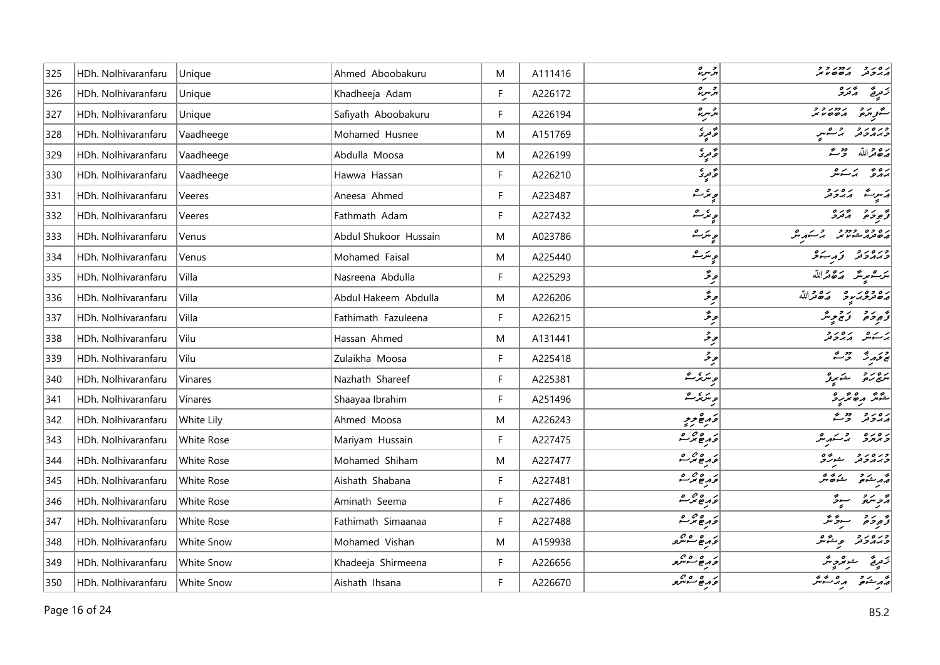| 325 | HDh. Nolhivaranfaru | Unique            | Ahmed Aboobakuru      | M           | A111416 | وژسررہ               | 77777<br>بر 2 د 15<br>م <i>ر</i> بر 5 تر                                                                                                                                                               |
|-----|---------------------|-------------------|-----------------------|-------------|---------|----------------------|--------------------------------------------------------------------------------------------------------------------------------------------------------------------------------------------------------|
| 326 | HDh. Nolhivaranfaru | Unique            | Khadheeja Adam        | F           | A226172 | ۾ سرچ                | تر ورقعٌ<br> <br>پھر ہ<br>مرکز                                                                                                                                                                         |
| 327 | HDh. Nolhivaranfaru | Unique            | Safiyath Aboobakuru   | F           | A226194 | وژسررہ               | ת הר גמנגר                                                                                                                                                                                             |
| 328 | HDh. Nolhivaranfaru | Vaadheege         | Mohamed Husnee        | M           | A151769 | ۇ<br>قرىمى<br>ق      | ورەرو وقس                                                                                                                                                                                              |
| 329 | HDh. Nolhivaranfaru | Vaadheege         | Abdulla Moosa         | M           | A226199 | ۇ تېرى <sup>ت</sup>  | مَدْهِ قِرْ اللّهِ وَقَرْ مَحْ                                                                                                                                                                         |
| 330 | HDh. Nolhivaranfaru | Vaadheege         | Hawwa Hassan          | F           | A226210 | ۇ<br>قرىمى           | برەپ برسكىر                                                                                                                                                                                            |
| 331 | HDh. Nolhivaranfaru | Veeres            | Aneesa Ahmed          | F           | A223487 | <sub>عو</sub> یز ک   | ړَسٍتَ ډَرورو                                                                                                                                                                                          |
| 332 | HDh. Nolhivaranfaru | Veeres            | Fathmath Adam         | F           | A227432 | <br> ءِ بمرڪ         | و در په دره                                                                                                                                                                                            |
| 333 | HDh. Nolhivaranfaru | Venus             | Abdul Shukoor Hussain | M           | A023786 | <sub>حو</sub> يئر مث |                                                                                                                                                                                                        |
| 334 | HDh. Nolhivaranfaru | Venus             | Mohamed Faisal        | M           | A225440 | <sub>حي</sub> سَر ڪ  | ورەرو زېربىگى                                                                                                                                                                                          |
| 335 | HDh. Nolhivaranfaru | Villa             | Nasreena Abdulla      | F           | A225293 | ءِ گ                 | تتر عبير محمد الله                                                                                                                                                                                     |
| 336 | HDh. Nolhivaranfaru | Villa             | Abdul Hakeem Abdulla  | M           | A226206 | ءِ گ                 | م ووم و م ومالله                                                                                                                                                                                       |
| 337 | HDh. Nolhivaranfaru | Villa             | Fathimath Fazuleena   | F           | A226215 | وِ تَح               | أزّوجوه وكالمحيث                                                                                                                                                                                       |
| 338 | HDh. Nolhivaranfaru | Vilu              | Hassan Ahmed          | M           | A131441 | عرقحه                | ير سەھر بەر ئەر ئىر                                                                                                                                                                                    |
| 339 | HDh. Nolhivaranfaru | Vilu              | Zulaikha Moosa        | F           | A225418 | حريحه                | كالمحكم المحمد فتحرج المتكر                                                                                                                                                                            |
| 340 | HDh. Nolhivaranfaru | <b>Vinares</b>    | Nazhath Shareef       | $\mathsf F$ | A225381 | وبتربره              | سرچ رہے ۔ سکھیرو                                                                                                                                                                                       |
| 341 | HDh. Nolhivaranfaru | Vinares           | Shaayaa Ibrahim       | F.          | A251496 | <sub>ع</sub> پېړۍ گ  | أَحْتَمْرَ مِرْهَ مُرْرِدْ                                                                                                                                                                             |
| 342 | HDh. Nolhivaranfaru | White Lily        | Ahmed Moosa           | M           | A226243 | د ره و د د           | رەرد «ش                                                                                                                                                                                                |
| 343 | HDh. Nolhivaranfaru | <b>White Rose</b> | Mariyam Hussain       | F           | A227475 | $\frac{1}{2}$        | دەرە جەمئىر                                                                                                                                                                                            |
| 344 | HDh. Nolhivaranfaru | <b>White Rose</b> | Mohamed Shiham        | M           | A227477 | وروعت                | ورەرو ئىدگە                                                                                                                                                                                            |
| 345 | HDh. Nolhivaranfaru | White Rose        | Aishath Shabana       | F           | A227481 | ورجوعه               | د د د د د مرکز د کند.<br>مرکز د کارو کند                                                                                                                                                               |
| 346 | HDh. Nolhivaranfaru | White Rose        | Aminath Seema         | F           | A227486 | لروه يوث             | $\begin{array}{cc} \mathcal{I}_{\mathcal{P}} & \mathcal{I}_{\mathcal{P}} & \mathcal{I}_{\mathcal{P}} \\ \mathcal{I}_{\mathcal{P}} & \mathcal{I}_{\mathcal{P}} & \mathcal{I}_{\mathcal{P}} \end{array}$ |
| 347 | HDh. Nolhivaranfaru | White Rose        | Fathimath Simaanaa    | F           | A227488 | لروموث               | توجدة سرقش                                                                                                                                                                                             |
| 348 | HDh. Nolhivaranfaru | <b>White Snow</b> | Mohamed Vishan        | M           | A159938 | أقرم قومتهم          | ورەرو بەشەر                                                                                                                                                                                            |
| 349 | HDh. Nolhivaranfaru | <b>White Snow</b> | Khadeeja Shirmeena    | F           | A226656 | الحديق شهجر          | ذَمرِيَّ حُرِيْرُوٍ مَّرْ                                                                                                                                                                              |
| 350 | HDh. Nolhivaranfaru | White Snow        | Aishath Ihsana        | F           | A226670 | الحروء سقيمه         | أقرم شوقر أورشه شتر                                                                                                                                                                                    |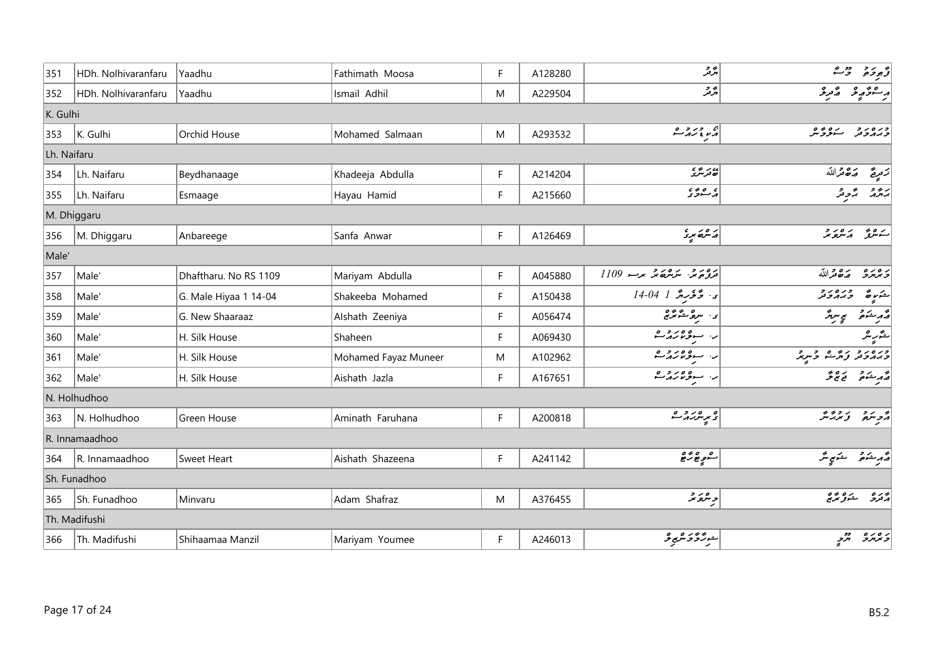| 351         | HDh. Nolhivaranfaru | Yaadhu                | Fathimath Moosa      | F         | A128280 | بروتر                                                | توجوحه وحث                                              |
|-------------|---------------------|-----------------------|----------------------|-----------|---------|------------------------------------------------------|---------------------------------------------------------|
| 352         | HDh. Nolhivaranfaru | <b>Yaadhu</b>         | Ismail Adhil         | M         | A229504 | پڑو                                                  | ر شۇر ئۇ ئەر                                            |
| K. Gulhi    |                     |                       |                      |           |         |                                                      |                                                         |
| 353         | K. Gulhi            | Orchid House          | Mohamed Salmaan      | ${\sf M}$ | A293532 | ا <i>نگرې تر پر ه</i>                                | ورەرو بەھ ھ                                             |
| Lh. Naifaru |                     |                       |                      |           |         |                                                      |                                                         |
| 354         | Lh. Naifaru         | Beydhanaage           | Khadeeja Abdulla     | F         | A214204 | ،، پر پر پر<br>ن تعریفری                             | تزميعً ضگاه الله                                        |
| 355         | Lh. Naifaru         | Esmaage               | Hayau Hamid          | F         | A215660 | ې ره پو <sup>ي</sup>                                 | ر پر دیگر در میگردد.<br>منظمات میگردارد                 |
|             | M. Dhiggaru         |                       |                      |           |         |                                                      |                                                         |
| 356         | M. Dhiggaru         | Anbareege             | Sanfa Anwar          | F         | A126469 | ەكتىھەتبەتى                                          | سَائْتَ مَا مَا مَا مَا مِنْ مِنْ                       |
| Male'       |                     |                       |                      |           |         |                                                      |                                                         |
| 357         | Male'               | Dhaftharu. No RS 1109 | Mariyam Abdulla      | F         | A045880 | ترويج تمر سر سر 1109                                 | ترمره ردورالله                                          |
| 358         | Male'               | G. Male Hiyaa 1 14-04 | Shakeeba Mohamed     | F         | A150438 | $14-04$ $1\frac{2}{3}$ ء $\frac{2}{3}$ $\frac{2}{3}$ | شكيرة ورەرو                                             |
| 359         | Male'               | G. New Shaaraaz       | Alshath Zeeniya      | F         | A056474 | ى سرەڭ ئىرىم                                         |                                                         |
| 360         | Male'               | H. Silk House         | Shaheen              | F         | A069430 | ر. سەۋرىردە ھ                                        | ڪ پر مگر<br>پخ                                          |
| 361         | Male'               | H. Silk House         | Mohamed Fayaz Muneer | M         | A102962 | ر. سوردرور                                           | ورەرو روم وسرچ                                          |
| 362         | Male'               | H. Silk House         | Aishath Jazla        | F         | A167651 | ر. سور در ده م                                       | مەر شەرق ئىم ئى                                         |
|             | N. Holhudhoo        |                       |                      |           |         |                                                      |                                                         |
| 363         | N. Holhudhoo        | Green House           | Aminath Faruhana     | F         | A200818 | اه پر عربر قرانس<br>گوهپر مرکز مرکز                  | أأزجر المتور والمحرمات المحمد                           |
|             | R. Innamaadhoo      |                       |                      |           |         |                                                      |                                                         |
| 364         | R. Innamaadhoo      | <b>Sweet Heart</b>    | Aishath Shazeena     | F         | A241142 | <u>ے <sub>ور</sub> ع</u> ور ح                        | ە ئەرشكە ھەسكى ئىگە                                     |
|             | Sh. Funadhoo        |                       |                      |           |         |                                                      |                                                         |
| 365         | Sh. Funadhoo        | Minvaru               | Adam Shafraz         | M         | A376455 | جرمثر بحر                                            | پره <sub>شو</sub> ويږه<br>د <i>تر</i> د شورتمر <i>ي</i> |
|             | Th. Madifushi       |                       |                      |           |         |                                                      |                                                         |
| 366         | Th. Madifushi       | Shihaamaa Manzil      | Mariyam Youmee       | F         | A246013 | ىشە <i>ر دەرىي تى</i>                                | ת סתם מק                                                |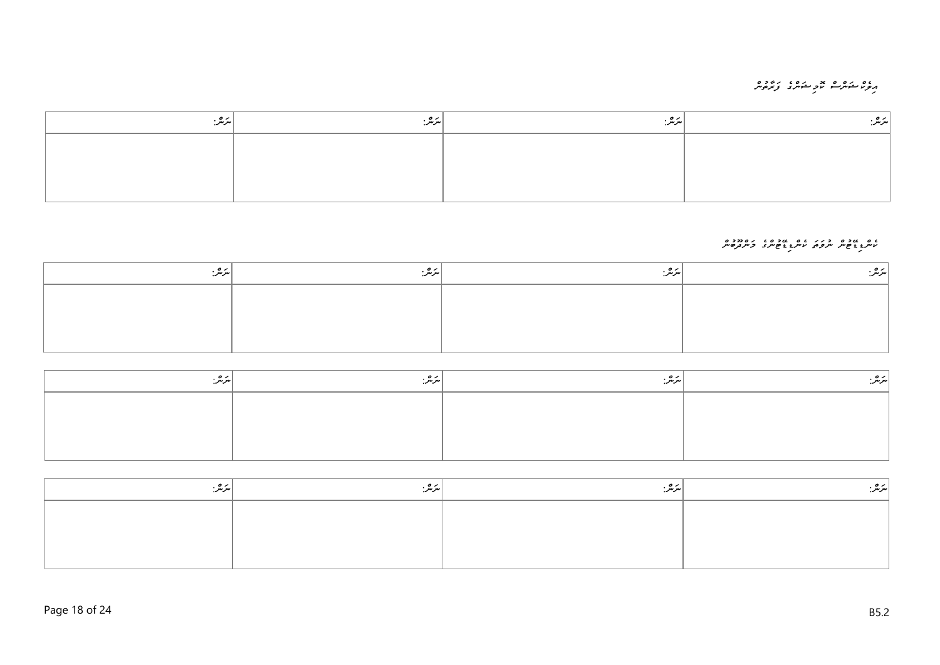## *w7qAn8m? sCw7mRo>u; wEw7mRw;sBo<*

| ' مرمر | 'يئرىثر: |
|--------|----------|
|        |          |
|        |          |
|        |          |

## *w7q9r@w7m> sCw7qHtFoFw7s; mAm=q7 w7qHtFoFw7s;*

| يئرمىش: | $^{\circ}$<br>. سر سر<br>$\cdot$ | $\circ$ $\sim$<br>-- | يئرمثر |
|---------|----------------------------------|----------------------|--------|
|         |                                  |                      |        |
|         |                                  |                      |        |
|         |                                  |                      |        |

| $\frac{2}{n}$ | $\overline{\phantom{a}}$ | اير هنه. | $\mathcal{O} \times$<br>سرسر |
|---------------|--------------------------|----------|------------------------------|
|               |                          |          |                              |
|               |                          |          |                              |
|               |                          |          |                              |

| ىرتىر: | 。<br>سر سر | .,<br>مرسر |
|--------|------------|------------|
|        |            |            |
|        |            |            |
|        |            |            |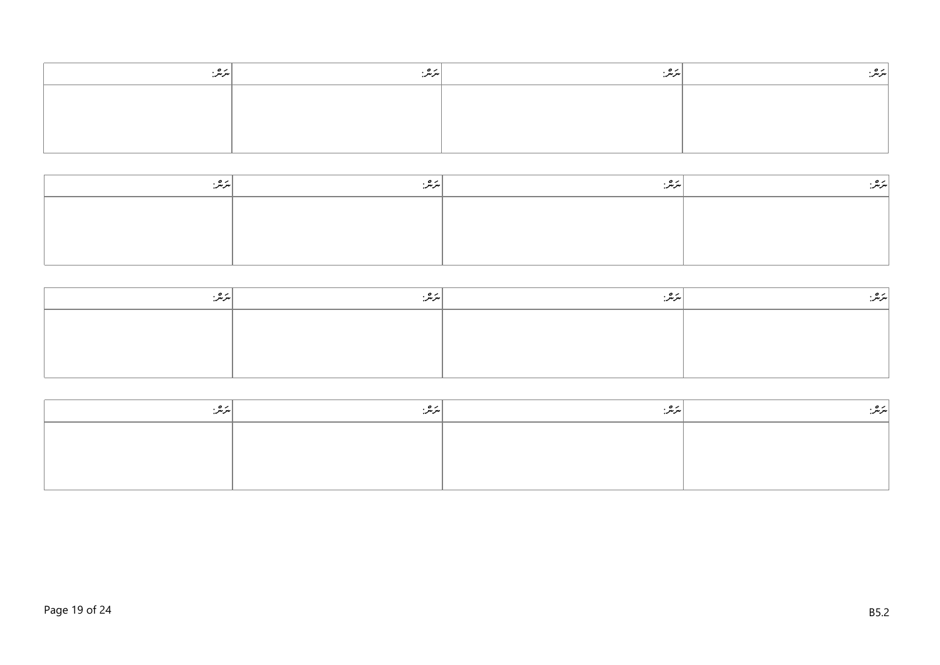| يزهر | $^{\circ}$ | ىئرىتر: |  |
|------|------------|---------|--|
|      |            |         |  |
|      |            |         |  |
|      |            |         |  |

| <sup>.</sup> سرسر. |  |
|--------------------|--|
|                    |  |
|                    |  |
|                    |  |

| ىئرىتر. | $\sim$ | ا بر هه. | لىرىش |
|---------|--------|----------|-------|
|         |        |          |       |
|         |        |          |       |
|         |        |          |       |

| $\overline{\phantom{a}}$<br>سرس. | ر ه<br>,,, | . . | 。<br>سرس. |
|----------------------------------|------------|-----|-----------|
|                                  |            |     |           |
|                                  |            |     |           |
|                                  |            |     |           |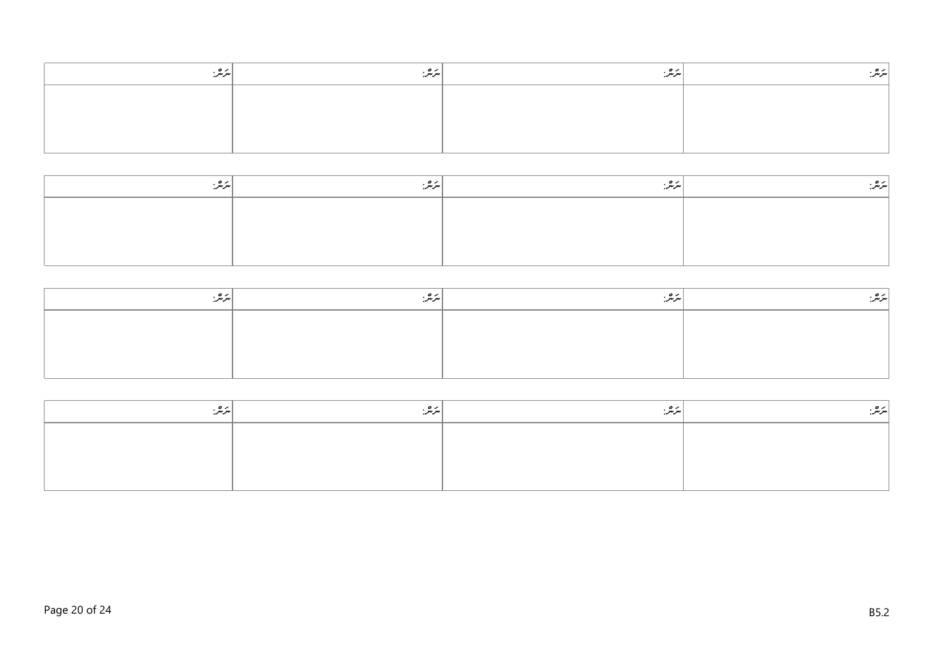| ير هو . | $\overline{\phantom{a}}$ | يرمر | اير هنه. |
|---------|--------------------------|------|----------|
|         |                          |      |          |
|         |                          |      |          |
|         |                          |      |          |

| ىر تىر: | $\circ$ $\sim$<br>" سرسر . | يبرحه | o . |
|---------|----------------------------|-------|-----|
|         |                            |       |     |
|         |                            |       |     |
|         |                            |       |     |

| انترنثر: | ر ه |  |
|----------|-----|--|
|          |     |  |
|          |     |  |
|          |     |  |

|  | . ه |
|--|-----|
|  |     |
|  |     |
|  |     |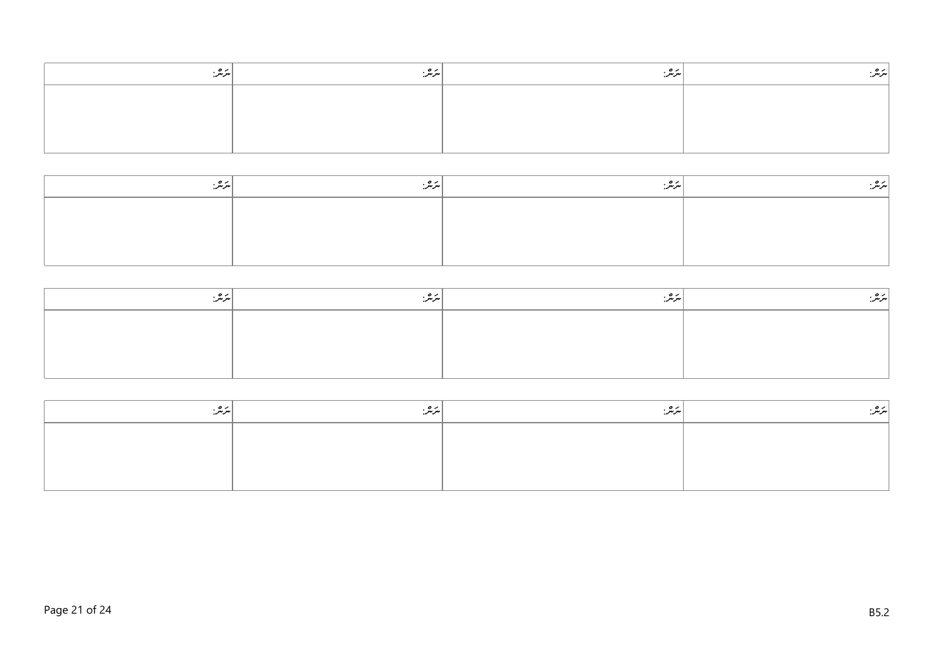| ير هو . | $\overline{\phantom{a}}$ | يرمر | اير هنه. |
|---------|--------------------------|------|----------|
|         |                          |      |          |
|         |                          |      |          |
|         |                          |      |          |

| ئىرتىر: | $\sim$<br>ا سرسر . | يئرمثر | o . |
|---------|--------------------|--------|-----|
|         |                    |        |     |
|         |                    |        |     |
|         |                    |        |     |

| 'تترنثر: | 。<br>,,,, |  |
|----------|-----------|--|
|          |           |  |
|          |           |  |
|          |           |  |

| 。 |  |  |
|---|--|--|
|   |  |  |
|   |  |  |
|   |  |  |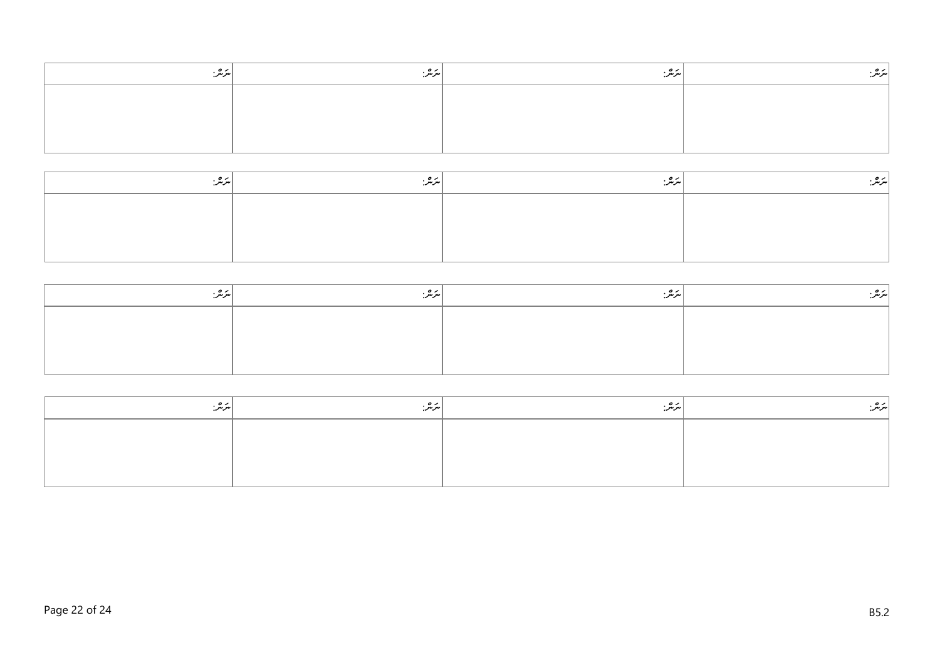| $\cdot$ | 。 | $\frac{\circ}{\cdot}$ | $\sim$<br>سرسر |
|---------|---|-----------------------|----------------|
|         |   |                       |                |
|         |   |                       |                |
|         |   |                       |                |

| يريثن | ' سرسر . |  |
|-------|----------|--|
|       |          |  |
|       |          |  |
|       |          |  |

| بر ه | . ه | $\sim$<br>سرسر |  |
|------|-----|----------------|--|
|      |     |                |  |
|      |     |                |  |
|      |     |                |  |

| 。<br>. س | ىرىىر |  |
|----------|-------|--|
|          |       |  |
|          |       |  |
|          |       |  |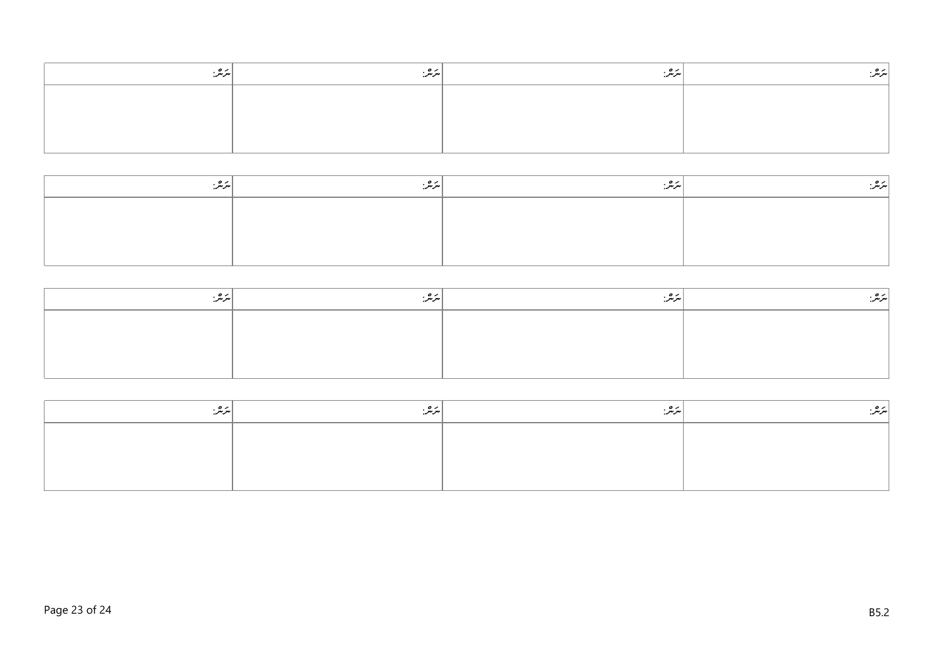| ير هو . | $\overline{\phantom{a}}$ | يرمر | اير هنه. |
|---------|--------------------------|------|----------|
|         |                          |      |          |
|         |                          |      |          |
|         |                          |      |          |

| ىر تىر: | $\circ$ $\sim$<br>" سرسر . | يبرحه | o . |
|---------|----------------------------|-------|-----|
|         |                            |       |     |
|         |                            |       |     |
|         |                            |       |     |

| 'تترنثر: | 。<br>,,,, |  |
|----------|-----------|--|
|          |           |  |
|          |           |  |
|          |           |  |

|  | . ه |
|--|-----|
|  |     |
|  |     |
|  |     |